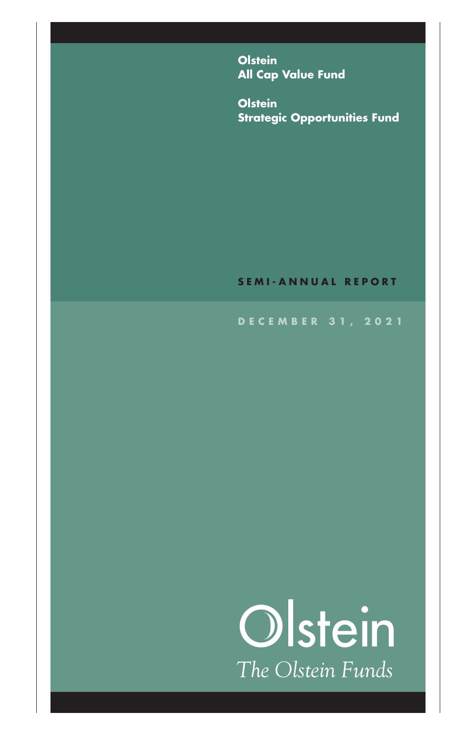**Olstein All Cap Value Fund**

**Olstein Strategic Opportunities Fund**

#### **S E M I - A N N U A L R E P O R T**

**D E C E M B E R 3 1 , 2 0 2 1**

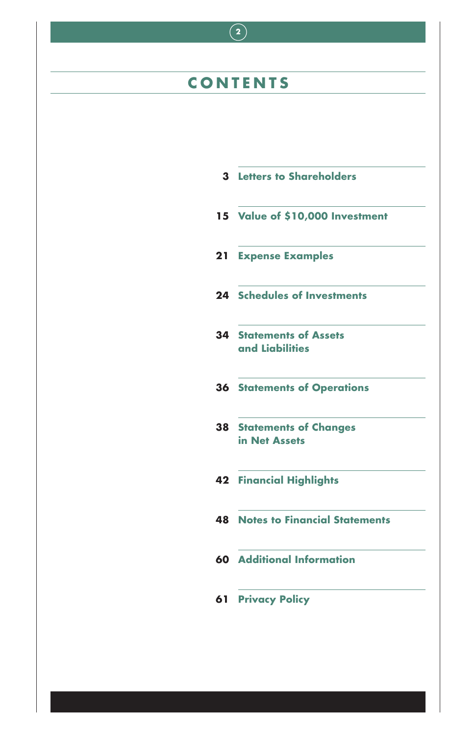# **C O N T E N T S**

 $\mathbf{2}^{\circ}$ 

|  | <b>3</b> Letters to Shareholders |
|--|----------------------------------|
|--|----------------------------------|

- **Value of \$10,000 Investment**
- **Expense Examples**
- **Schedules of Investments**
- **Statements of Assets and Liabilities**
- **Statements of Operations**
- **Statements of Changes in Net Assets**
- **Financial Highlights**
- **Notes to Financial Statements**
- **Additional Information**
- **Privacy Policy**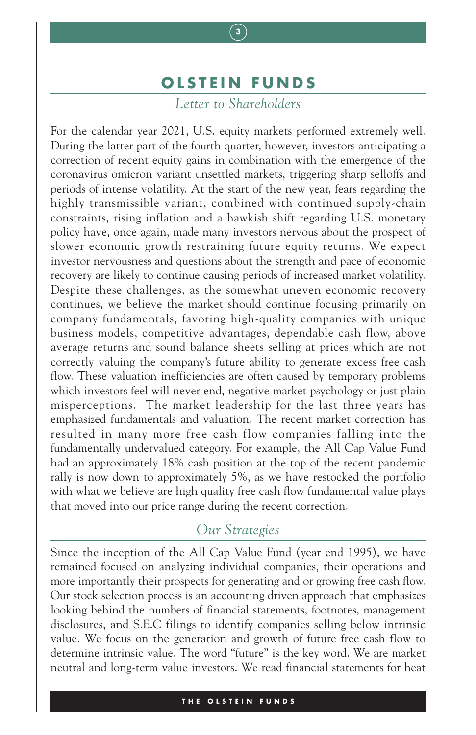# **O L S T E I N F U N D S** *Letter to Shareholders*

**3**

For the calendar year 2021, U.S. equity markets performed extremely well. During the latter part of the fourth quarter, however, investors anticipating a correction of recent equity gains in combination with the emergence of the coronavirus omicron variant unsettled markets, triggering sharp selloffs and periods of intense volatility. At the start of the new year, fears regarding the highly transmissible variant, combined with continued supply-chain constraints, rising inflation and a hawkish shift regarding U.S. monetary policy have, once again, made many investors nervous about the prospect of slower economic growth restraining future equity returns. We expect investor nervousness and questions about the strength and pace of economic recovery are likely to continue causing periods of increased market volatility. Despite these challenges, as the somewhat uneven economic recovery continues, we believe the market should continue focusing primarily on company fundamentals, favoring high-quality companies with unique business models, competitive advantages, dependable cash flow, above average returns and sound balance sheets selling at prices which are not correctly valuing the company's future ability to generate excess free cash flow. These valuation inefficiencies are often caused by temporary problems which investors feel will never end, negative market psychology or just plain misperceptions. The market leadership for the last three years has emphasized fundamentals and valuation. The recent market correction has resulted in many more free cash flow companies falling into the fundamentally undervalued category. For example, the All Cap Value Fund had an approximately 18% cash position at the top of the recent pandemic rally is now down to approximately 5%, as we have restocked the portfolio with what we believe are high quality free cash flow fundamental value plays that moved into our price range during the recent correction.

# *Our Strategies*

Since the inception of the All Cap Value Fund (year end 1995), we have remained focused on analyzing individual companies, their operations and more importantly their prospects for generating and or growing free cash flow. Our stock selection process is an accounting driven approach that emphasizes looking behind the numbers of financial statements, footnotes, management disclosures, and S.E.C filings to identify companies selling below intrinsic value. We focus on the generation and growth of future free cash flow to determine intrinsic value. The word "future" is the key word. We are market neutral and long-term value investors. We read financial statements for heat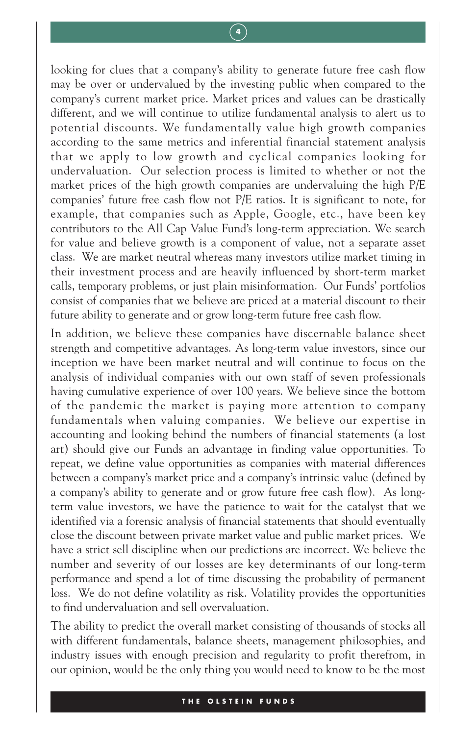# $\mathbf{A}$

looking for clues that a company's ability to generate future free cash flow may be over or undervalued by the investing public when compared to the company's current market price. Market prices and values can be drastically different, and we will continue to utilize fundamental analysis to alert us to potential discounts. We fundamentally value high growth companies according to the same metrics and inferential financial statement analysis that we apply to low growth and cyclical companies looking for undervaluation. Our selection process is limited to whether or not the market prices of the high growth companies are undervaluing the high P/E companies' future free cash flow not P/E ratios. It is significant to note, for example, that companies such as Apple, Google, etc., have been key contributors to the All Cap Value Fund's long-term appreciation. We search for value and believe growth is a component of value, not a separate asset class. We are market neutral whereas many investors utilize market timing in their investment process and are heavily influenced by short-term market calls, temporary problems, or just plain misinformation. Our Funds' portfolios consist of companies that we believe are priced at a material discount to their future ability to generate and or grow long-term future free cash flow.

In addition, we believe these companies have discernable balance sheet strength and competitive advantages. As long-term value investors, since our inception we have been market neutral and will continue to focus on the analysis of individual companies with our own staff of seven professionals having cumulative experience of over 100 years. We believe since the bottom of the pandemic the market is paying more attention to company fundamentals when valuing companies. We believe our expertise in accounting and looking behind the numbers of financial statements (a lost art) should give our Funds an advantage in finding value opportunities. To repeat, we define value opportunities as companies with material differences between a company's market price and a company's intrinsic value (defined by a company's ability to generate and or grow future free cash flow). As longterm value investors, we have the patience to wait for the catalyst that we identified via a forensic analysis of financial statements that should eventually close the discount between private market value and public market prices. We have a strict sell discipline when our predictions are incorrect. We believe the number and severity of our losses are key determinants of our long-term performance and spend a lot of time discussing the probability of permanent loss. We do not define volatility as risk. Volatility provides the opportunities to find undervaluation and sell overvaluation.

The ability to predict the overall market consisting of thousands of stocks all with different fundamentals, balance sheets, management philosophies, and industry issues with enough precision and regularity to profit therefrom, in our opinion, would be the only thing you would need to know to be the most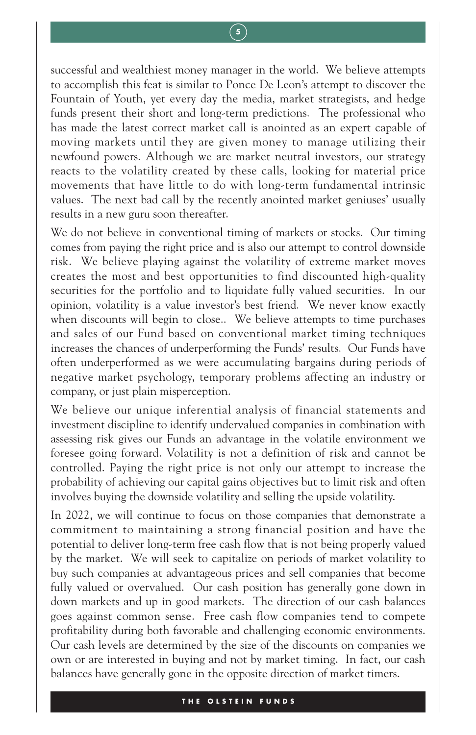

successful and wealthiest money manager in the world. We believe attempts to accomplish this feat is similar to Ponce De Leon's attempt to discover the Fountain of Youth, yet every day the media, market strategists, and hedge funds present their short and long-term predictions. The professional who has made the latest correct market call is anointed as an expert capable of moving markets until they are given money to manage utilizing their newfound powers. Although we are market neutral investors, our strategy reacts to the volatility created by these calls, looking for material price movements that have little to do with long-term fundamental intrinsic values. The next bad call by the recently anointed market geniuses' usually results in a new guru soon thereafter.

We do not believe in conventional timing of markets or stocks. Our timing comes from paying the right price and is also our attempt to control downside risk. We believe playing against the volatility of extreme market moves creates the most and best opportunities to find discounted high-quality securities for the portfolio and to liquidate fully valued securities. In our opinion, volatility is a value investor's best friend. We never know exactly when discounts will begin to close.. We believe attempts to time purchases and sales of our Fund based on conventional market timing techniques increases the chances of underperforming the Funds' results. Our Funds have often underperformed as we were accumulating bargains during periods of negative market psychology, temporary problems affecting an industry or company, or just plain misperception.

We believe our unique inferential analysis of financial statements and investment discipline to identify undervalued companies in combination with assessing risk gives our Funds an advantage in the volatile environment we foresee going forward. Volatility is not a definition of risk and cannot be controlled. Paying the right price is not only our attempt to increase the probability of achieving our capital gains objectives but to limit risk and often involves buying the downside volatility and selling the upside volatility.

In 2022, we will continue to focus on those companies that demonstrate a commitment to maintaining a strong financial position and have the potential to deliver long-term free cash flow that is not being properly valued by the market. We will seek to capitalize on periods of market volatility to buy such companies at advantageous prices and sell companies that become fully valued or overvalued. Our cash position has generally gone down in down markets and up in good markets. The direction of our cash balances goes against common sense. Free cash flow companies tend to compete profitability during both favorable and challenging economic environments. Our cash levels are determined by the size of the discounts on companies we own or are interested in buying and not by market timing. In fact, our cash balances have generally gone in the opposite direction of market timers.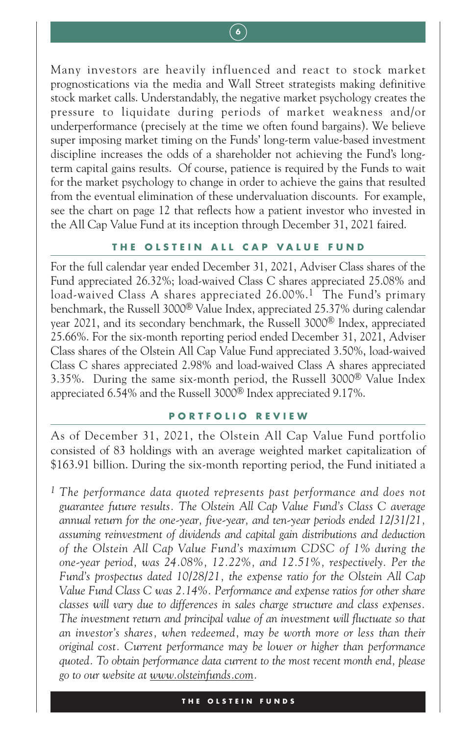

Many investors are heavily influenced and react to stock market prognostications via the media and Wall Street strategists making definitive stock market calls. Understandably, the negative market psychology creates the pressure to liquidate during periods of market weakness and/or underperformance (precisely at the time we often found bargains). We believe super imposing market timing on the Funds' long-term value-based investment discipline increases the odds of a shareholder not achieving the Fund's longterm capital gains results. Of course, patience is required by the Funds to wait for the market psychology to change in order to achieve the gains that resulted from the eventual elimination of these undervaluation discounts. For example, see the chart on page 12 that reflects how a patient investor who invested in the All Cap Value Fund at its inception through December 31, 2021 faired.

## **T H E O L S T E I N A L L C A P V A L U E F U N D**

For the full calendar year ended December 31, 2021, Adviser Class shares of the Fund appreciated 26.32%; load-waived Class C shares appreciated 25.08% and load-waived Class A shares appreciated 26.00%.<sup>1</sup> The Fund's primary benchmark, the Russell 3000® Value Index, appreciated 25.37% during calendar year 2021, and its secondary benchmark, the Russell 3000® Index, appreciated 25.66%. For the six-month reporting period ended December 31, 2021, Adviser Class shares of the Olstein All Cap Value Fund appreciated 3.50%, load-waived Class C shares appreciated 2.98% and load-waived Class A shares appreciated 3.35%. During the same six-month period, the Russell 3000® Value Index appreciated 6.54% and the Russell 3000® Index appreciated 9.17%.

#### **P O R T F O L I O R E V I E W**

As of December 31, 2021, the Olstein All Cap Value Fund portfolio consisted of 83 holdings with an average weighted market capitalization of \$163.91 billion. During the six-month reporting period, the Fund initiated a

*1 The performance data quoted represents past performance and does not guarantee future results. The Olstein All Cap Value Fund's Class C average annual return for the one-year, five-year, and ten-year periods ended 12/31/21, assuming reinvestment of dividends and capital gain distributions and deduction of the Olstein All Cap Value Fund's maximum CDSC of 1% during the one-year period, was 24.08%, 12.22%, and 12.51%, respectively. Per the Fund's prospectus dated 10/28/21, the expense ratio for the Olstein All Cap Value Fund Class C was 2.14%. Performance and expense ratios for other share classes will vary due to differences in sales charge structure and class expenses. The investment return and principal value of an investment will fluctuate so that an investor's shares, when redeemed, may be worth more or less than their original cost. Current performance may be lower or higher than performance quoted. To obtain performance data current to the most recent month end, please go to our website at www.olsteinfunds.com.*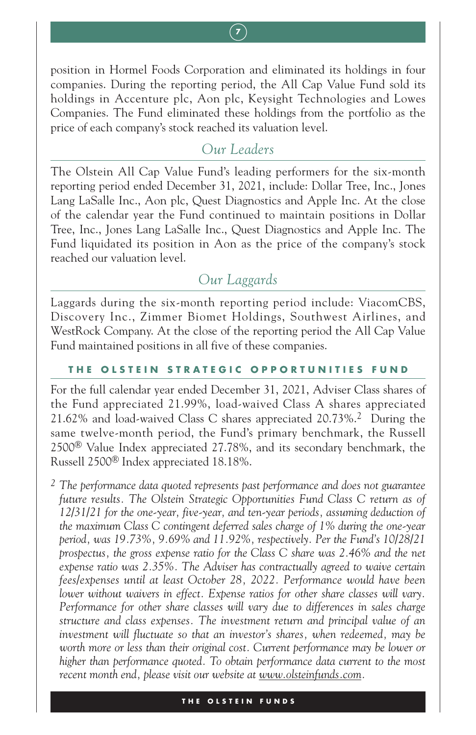position in Hormel Foods Corporation and eliminated its holdings in four companies. During the reporting period, the All Cap Value Fund sold its holdings in Accenture plc, Aon plc, Keysight Technologies and Lowes Companies. The Fund eliminated these holdings from the portfolio as the price of each company's stock reached its valuation level.

**7**

## *Our Leaders*

The Olstein All Cap Value Fund's leading performers for the six-month reporting period ended December 31, 2021, include: Dollar Tree, Inc., Jones Lang LaSalle Inc., Aon plc, Quest Diagnostics and Apple Inc. At the close of the calendar year the Fund continued to maintain positions in Dollar Tree, Inc., Jones Lang LaSalle Inc., Quest Diagnostics and Apple Inc. The Fund liquidated its position in Aon as the price of the company's stock reached our valuation level.

# *Our Laggards*

Laggards during the six-month reporting period include: ViacomCBS, Discovery Inc., Zimmer Biomet Holdings, Southwest Airlines, and WestRock Company. At the close of the reporting period the All Cap Value Fund maintained positions in all five of these companies.

## THE OLSTEIN STRATEGIC OPPORTUNITIES FUND

For the full calendar year ended December 31, 2021, Adviser Class shares of the Fund appreciated 21.99%, load-waived Class A shares appreciated 21.62% and load-waived Class C shares appreciated 20.73%. 2 During the same twelve-month period, the Fund's primary benchmark, the Russell 2500® Value Index appreciated 27.78%, and its secondary benchmark, the Russell 2500® Index appreciated 18.18%.

*2 The performance data quoted represents past performance and does not guarantee future results. The Olstein Strategic Opportunities Fund Class C return as of 12/31/21 for the one-year, five-year, and ten-year periods, assuming deduction of the maximum Class C contingent deferred sales charge of 1% during the one-year period, was 19.73%, 9.69% and 11.92%, respectively. Per the Fund's 10/28/21 prospectus, the gross expense ratio for the Class C share was 2.46% and the net expense ratio was 2.35%. The Adviser has contractually agreed to waive certain fees/expenses until at least October 28, 2022. Performance would have been lower without waivers in effect. Expense ratios for other share classes will vary. Performance for other share classes will vary due to differences in sales charge structure and class expenses. The investment return and principal value of an investment will fluctuate so that an investor's shares, when redeemed, may be worth more or less than their original cost. Current performance may be lower or higher than performance quoted. To obtain performance data current to the most recent month end, please visit our website at www.olsteinfunds.com.*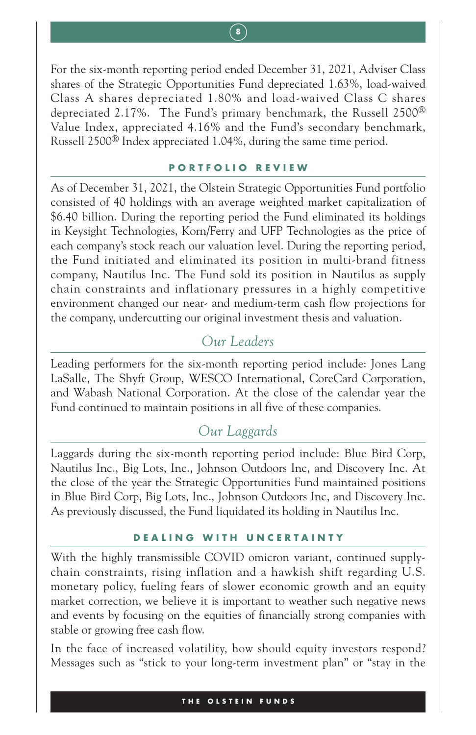

For the six-month reporting period ended December 31, 2021, Adviser Class shares of the Strategic Opportunities Fund depreciated 1.63%, load-waived Class A shares depreciated 1.80% and load-waived Class C shares depreciated 2.17%. The Fund's primary benchmark, the Russell 2500® Value Index, appreciated 4.16% and the Fund's secondary benchmark, Russell 2500® Index appreciated 1.04%, during the same time period.

#### **P O R T F O L I O R E V I E W**

As of December 31, 2021, the Olstein Strategic Opportunities Fund portfolio consisted of 40 holdings with an average weighted market capitalization of \$6.40 billion. During the reporting period the Fund eliminated its holdings in Keysight Technologies, Korn/Ferry and UFP Technologies as the price of each company's stock reach our valuation level. During the reporting period, the Fund initiated and eliminated its position in multi-brand fitness company, Nautilus Inc. The Fund sold its position in Nautilus as supply chain constraints and inflationary pressures in a highly competitive environment changed our near- and medium-term cash flow projections for the company, undercutting our original investment thesis and valuation.

# *Our Leaders*

Leading performers for the six-month reporting period include: Jones Lang LaSalle, The Shyft Group, WESCO International, CoreCard Corporation, and Wabash National Corporation. At the close of the calendar year the Fund continued to maintain positions in all five of these companies.

## *Our Laggards*

Laggards during the six-month reporting period include: Blue Bird Corp, Nautilus Inc., Big Lots, Inc., Johnson Outdoors Inc, and Discovery Inc. At the close of the year the Strategic Opportunities Fund maintained positions in Blue Bird Corp, Big Lots, Inc., Johnson Outdoors Inc, and Discovery Inc. As previously discussed, the Fund liquidated its holding in Nautilus Inc.

### **D E A L I N G W I T H U N C E R T A I N T Y**

With the highly transmissible COVID omicron variant, continued supplychain constraints, rising inflation and a hawkish shift regarding U.S. monetary policy, fueling fears of slower economic growth and an equity market correction, we believe it is important to weather such negative news and events by focusing on the equities of financially strong companies with stable or growing free cash flow.

In the face of increased volatility, how should equity investors respond? Messages such as "stick to your long-term investment plan" or "stay in the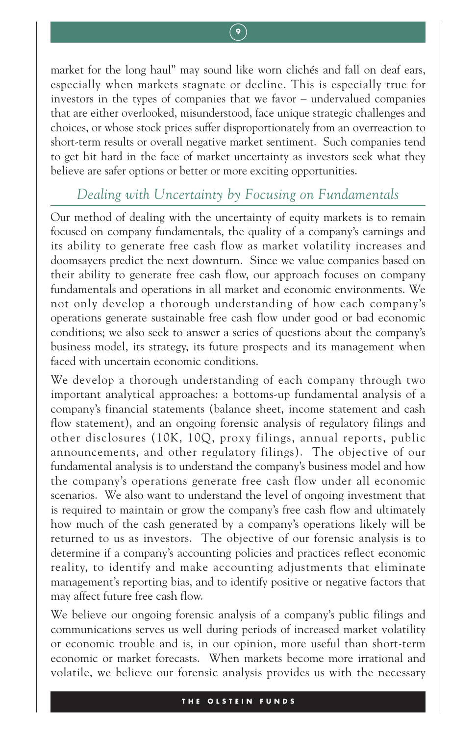

market for the long haul" may sound like worn clichés and fall on deaf ears, especially when markets stagnate or decline. This is especially true for investors in the types of companies that we favor – undervalued companies that are either overlooked, misunderstood, face unique strategic challenges and choices, or whose stock prices suffer disproportionately from an overreaction to short-term results or overall negative market sentiment. Such companies tend to get hit hard in the face of market uncertainty as investors seek what they believe are safer options or better or more exciting opportunities.

# *Dealing with Uncertainty by Focusing on Fundamentals*

Our method of dealing with the uncertainty of equity markets is to remain focused on company fundamentals, the quality of a company's earnings and its ability to generate free cash flow as market volatility increases and doomsayers predict the next downturn. Since we value companies based on their ability to generate free cash flow, our approach focuses on company fundamentals and operations in all market and economic environments. We not only develop a thorough understanding of how each company's operations generate sustainable free cash flow under good or bad economic conditions; we also seek to answer a series of questions about the company's business model, its strategy, its future prospects and its management when faced with uncertain economic conditions.

We develop a thorough understanding of each company through two important analytical approaches: a bottoms-up fundamental analysis of a company's financial statements (balance sheet, income statement and cash flow statement), and an ongoing forensic analysis of regulatory filings and other disclosures (10K, 10Q, proxy filings, annual reports, public announcements, and other regulatory filings). The objective of our fundamental analysis is to understand the company's business model and how the company's operations generate free cash flow under all economic scenarios. We also want to understand the level of ongoing investment that is required to maintain or grow the company's free cash flow and ultimately how much of the cash generated by a company's operations likely will be returned to us as investors. The objective of our forensic analysis is to determine if a company's accounting policies and practices reflect economic reality, to identify and make accounting adjustments that eliminate management's reporting bias, and to identify positive or negative factors that may affect future free cash flow.

We believe our ongoing forensic analysis of a company's public filings and communications serves us well during periods of increased market volatility or economic trouble and is, in our opinion, more useful than short-term economic or market forecasts. When markets become more irrational and volatile, we believe our forensic analysis provides us with the necessary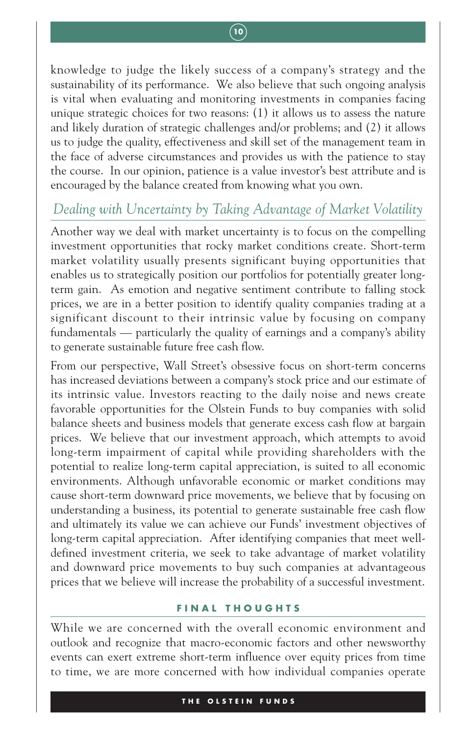

knowledge to judge the likely success of a company's strategy and the sustainability of its performance. We also believe that such ongoing analysis is vital when evaluating and monitoring investments in companies facing unique strategic choices for two reasons: (1) it allows us to assess the nature and likely duration of strategic challenges and/or problems; and (2) it allows us to judge the quality, effectiveness and skill set of the management team in the face of adverse circumstances and provides us with the patience to stay the course. In our opinion, patience is a value investor's best attribute and is encouraged by the balance created from knowing what you own.

# *Dealing with Uncertainty by Taking Advantage of Market Volatility*

Another way we deal with market uncertainty is to focus on the compelling investment opportunities that rocky market conditions create. Short-term market volatility usually presents significant buying opportunities that enables us to strategically position our portfolios for potentially greater longterm gain. As emotion and negative sentiment contribute to falling stock prices, we are in a better position to identify quality companies trading at a significant discount to their intrinsic value by focusing on company fundamentals — particularly the quality of earnings and a company's ability to generate sustainable future free cash flow.

From our perspective, Wall Street's obsessive focus on short-term concerns has increased deviations between a company's stock price and our estimate of its intrinsic value. Investors reacting to the daily noise and news create favorable opportunities for the Olstein Funds to buy companies with solid balance sheets and business models that generate excess cash flow at bargain prices. We believe that our investment approach, which attempts to avoid long-term impairment of capital while providing shareholders with the potential to realize long-term capital appreciation, is suited to all economic environments. Although unfavorable economic or market conditions may cause short-term downward price movements, we believe that by focusing on understanding a business, its potential to generate sustainable free cash flow and ultimately its value we can achieve our Funds' investment objectives of long-term capital appreciation. After identifying companies that meet welldefined investment criteria, we seek to take advantage of market volatility and downward price movements to buy such companies at advantageous prices that we believe will increase the probability of a successful investment.

#### **F I N A L T H O U G H T S**

While we are concerned with the overall economic environment and outlook and recognize that macro-economic factors and other newsworthy events can exert extreme short-term influence over equity prices from time to time, we are more concerned with how individual companies operate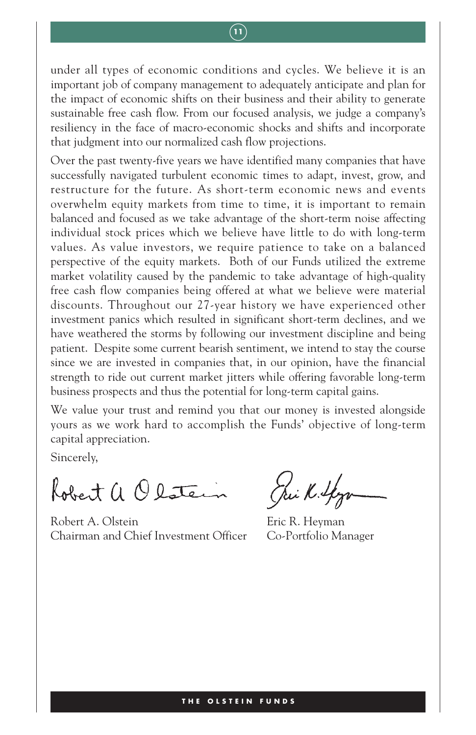

under all types of economic conditions and cycles. We believe it is an important job of company management to adequately anticipate and plan for the impact of economic shifts on their business and their ability to generate sustainable free cash flow. From our focused analysis, we judge a company's resiliency in the face of macro-economic shocks and shifts and incorporate that judgment into our normalized cash flow projections.

Over the past twenty-five years we have identified many companies that have successfully navigated turbulent economic times to adapt, invest, grow, and restructure for the future. As short-term economic news and events overwhelm equity markets from time to time, it is important to remain balanced and focused as we take advantage of the short-term noise affecting individual stock prices which we believe have little to do with long-term values. As value investors, we require patience to take on a balanced perspective of the equity markets. Both of our Funds utilized the extreme market volatility caused by the pandemic to take advantage of high-quality free cash flow companies being offered at what we believe were material discounts. Throughout our 27-year history we have experienced other investment panics which resulted in significant short-term declines, and we have weathered the storms by following our investment discipline and being patient. Despite some current bearish sentiment, we intend to stay the course since we are invested in companies that, in our opinion, have the financial strength to ride out current market jitters while offering favorable long-term business prospects and thus the potential for long-term capital gains.

We value your trust and remind you that our money is invested alongside yours as we work hard to accomplish the Funds' objective of long-term capital appreciation.

Sincerely,

Robert a Olstein

Robert A. Olstein Eric R. Heyman Chairman and Chief Investment Officer Co-Portfolio Manager

Jui K. Sp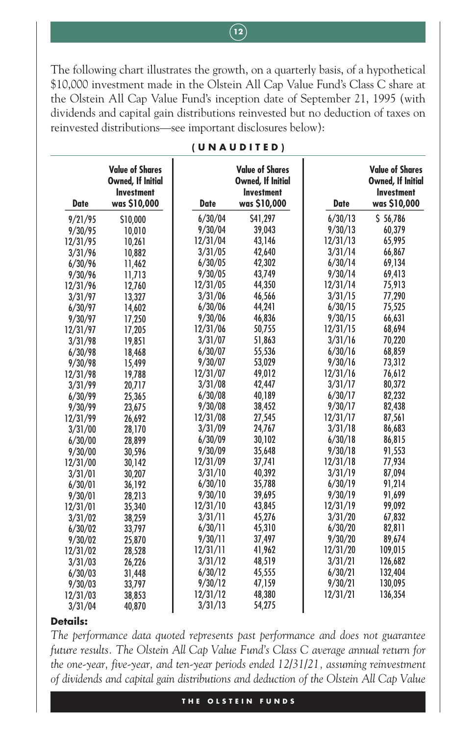The following chart illustrates the growth, on a quarterly basis, of a hypothetical \$10,000 investment made in the Olstein All Cap Value Fund's Class C share at the Olstein All Cap Value Fund's inception date of September 21, 1995 (with dividends and capital gain distributions reinvested but no deduction of taxes on reinvested distributions—see important disclosures below):

| <b>Date</b> | <b>Value of Shares</b><br><b>Owned, If Initial</b><br><b>Investment</b><br>was \$10,000 | <b>Date</b> | <b>Value of Shares</b><br><b>Owned, If Initial</b><br><b>Investment</b><br>was \$10,000 | <b>Date</b> | <b>Value of Shares</b><br><b>Owned, If Initial</b><br><b>Investment</b><br>was \$10,000 |
|-------------|-----------------------------------------------------------------------------------------|-------------|-----------------------------------------------------------------------------------------|-------------|-----------------------------------------------------------------------------------------|
| 9/21/95     | \$10,000                                                                                | 6/30/04     | \$41,297                                                                                | 6/30/13     | \$5, 56, 786                                                                            |
| 9/30/95     | 10,010                                                                                  | 9/30/04     | 39,043                                                                                  | 9/30/13     | 60,379                                                                                  |
| 12/31/95    | 10,261                                                                                  | 12/31/04    | 43,146                                                                                  | 12/31/13    | 65,995                                                                                  |
| 3/31/96     | 10,882                                                                                  | 3/31/05     | 42,640                                                                                  | 3/31/14     | 66,867                                                                                  |
| 6/30/96     | 11,462                                                                                  | 6/30/05     | 42.302                                                                                  | 6/30/14     | 69.134                                                                                  |
| 9/30/96     | 11.713                                                                                  | 9/30/05     | 43,749                                                                                  | 9/30/14     | 69,413                                                                                  |
| 12/31/96    | 12.760                                                                                  | 12/31/05    | 44,350                                                                                  | 12/31/14    | 75,913                                                                                  |
| 3/31/97     | 13,327                                                                                  | 3/31/06     | 46,566                                                                                  | 3/31/15     | 77,290                                                                                  |
| 6/30/97     | 14,602                                                                                  | 6/30/06     | 44,241                                                                                  | 6/30/15     | 75,525                                                                                  |
| 9/30/97     | 17,250                                                                                  | 9/30/06     | 46,836                                                                                  | 9/30/15     | 66,631                                                                                  |
| 12/31/97    | 17,205                                                                                  | 12/31/06    | 50,755                                                                                  | 12/31/15    | 68,694                                                                                  |
| 3/31/98     | 19,851                                                                                  | 3/31/07     | 51,863                                                                                  | 3/31/16     | 70,220                                                                                  |
| 6/30/98     | 18,468                                                                                  | 6/30/07     | 55,536                                                                                  | 6/30/16     | 68,859                                                                                  |
| 9/30/98     | 15,499                                                                                  | 9/30/07     | 53,029                                                                                  | 9/30/16     | 73,312                                                                                  |
| 12/31/98    | 19,788                                                                                  | 12/31/07    | 49,012                                                                                  | 12/31/16    | 76,612                                                                                  |
| 3/31/99     | 20.717                                                                                  | 3/31/08     | 42.447                                                                                  | 3/31/17     | 80.372                                                                                  |
| 6/30/99     | 25.365                                                                                  | 6/30/08     | 40,189                                                                                  | 6/30/17     | 82,232                                                                                  |
| 9/30/99     | 23,675                                                                                  | 9/30/08     | 38,452                                                                                  | 9/30/17     | 82,438                                                                                  |
| 12/31/99    | 26.692                                                                                  | 12/31/08    | 27,545                                                                                  | 12/31/17    | 87,561                                                                                  |
| 3/31/00     | 28,170                                                                                  | 3/31/09     | 24.767                                                                                  | 3/31/18     | 86,683                                                                                  |
| 6/30/00     | 28,899                                                                                  | 6/30/09     | 30,102                                                                                  | 6/30/18     | 86,815                                                                                  |
| 9/30/00     | 30.596                                                                                  | 9/30/09     | 35,648                                                                                  | 9/30/18     | 91,553                                                                                  |
| 12/31/00    | 30,142                                                                                  | 12/31/09    | 37,741                                                                                  | 12/31/18    | 77,934                                                                                  |
| 3/31/01     | 30,207                                                                                  | 3/31/10     | 40,392                                                                                  | 3/31/19     | 87,094                                                                                  |
| 6/30/01     | 36,192                                                                                  | 6/30/10     | 35,788                                                                                  | 6/30/19     | 91,214                                                                                  |
| 9/30/01     | 28,213                                                                                  | 9/30/10     | 39,695                                                                                  | 9/30/19     | 91.699                                                                                  |
| 12/31/01    | 35,340                                                                                  | 12/31/10    | 43,845                                                                                  | 12/31/19    | 99,092                                                                                  |
| 3/31/02     | 38,259                                                                                  | 3/31/11     | 45,276                                                                                  | 3/31/20     | 67,832                                                                                  |
| 6/30/02     | 33,797                                                                                  | 6/30/11     | 45,310                                                                                  | 6/30/20     | 82,811                                                                                  |
| 9/30/02     | 25,870                                                                                  | 9/30/11     | 37,497                                                                                  | 9/30/20     | 89,674                                                                                  |
| 12/31/02    | 28,528                                                                                  | 12/31/11    | 41,962                                                                                  | 12/31/20    | 109,015                                                                                 |
| 3/31/03     | 26,226                                                                                  | 3/31/12     | 48,519                                                                                  | 3/31/21     | 126,682                                                                                 |
| 6/30/03     | 31,448                                                                                  | 6/30/12     | 45,555                                                                                  | 6/30/21     | 132,404                                                                                 |
| 9/30/03     | 33,797                                                                                  | 9/30/12     | 47,159                                                                                  | 9/30/21     | 130,095                                                                                 |
| 12/31/03    | 38,853                                                                                  | 12/31/12    | 48,380                                                                                  | 12/31/21    | 136,354                                                                                 |
| 3/31/04     | 40,870                                                                                  | 3/31/13     | 54,275                                                                                  |             |                                                                                         |

#### **( U N A U D I T E D )**

#### **Details:**

*The performance data quoted represents past performance and does not guarantee future results. The Olstein All Cap Value Fund's Class C average annual return for the one-year, five-year, and ten-year periods ended 12/31/21, assuming reinvestment of dividends and capital gain distributions and deduction of the Olstein All Cap Value*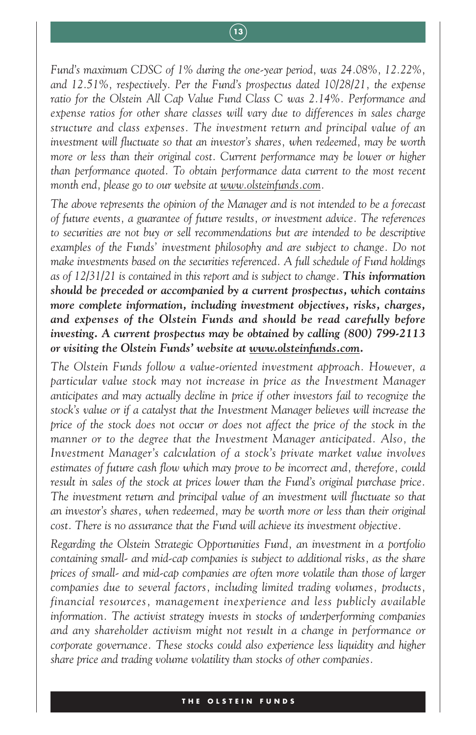

*Fund's maximum CDSC of 1% during the one-year period, was 24.08%, 12.22%, and 12.51%, respectively. Per the Fund's prospectus dated 10/28/21, the expense ratio for the Olstein All Cap Value Fund Class C was 2.14%. Performance and expense ratios for other share classes will vary due to differences in sales charge structure and class expenses. The investment return and principal value of an investment will fluctuate so that an investor's shares, when redeemed, may be worth more or less than their original cost. Current performance may be lower or higher than performance quoted. To obtain performance data current to the most recent month end, please go to our website at www.olsteinfunds.com.*

*The above represents the opinion of the Manager and is not intended to be a forecast of future events, a guarantee of future results, or investment advice. The references to securities are not buy or sell recommendations but are intended to be descriptive examples of the Funds' investment philosophy and are subject to change. Do not make investments based on the securities referenced. A full schedule of Fund holdings as of 12/31/21 is contained in this report and is subject to change. This information should be preceded or accompanied by a current prospectus, which contains more complete information, including investment objectives, risks, charges, and expenses of the Olstein Funds and should be read carefully before investing. A current prospectus may be obtained by calling (800) 799-2113 or visiting the Olstein Funds' website at www.olsteinfunds.com.*

*The Olstein Funds follow a value-oriented investment approach. However, a particular value stock may not increase in price as the Investment Manager anticipates and may actually decline in price if other investors fail to recognize the stock's value or if a catalyst that the Investment Manager believes will increase the price of the stock does not occur or does not affect the price of the stock in the manner or to the degree that the Investment Manager anticipated. Also, the Investment Manager's calculation of a stock's private market value involves estimates of future cash flow which may prove to be incorrect and, therefore, could result in sales of the stock at prices lower than the Fund's original purchase price. The investment return and principal value of an investment will fluctuate so that an investor's shares, when redeemed, may be worth more or less than their original cost. There is no assurance that the Fund will achieve its investment objective.*

*Regarding the Olstein Strategic Opportunities Fund, an investment in a portfolio containing small- and mid-cap companies is subject to additional risks, as the share prices of small- and mid-cap companies are often more volatile than those of larger companies due to several factors, including limited trading volumes, products, financial resources, management inexperience and less publicly available information. The activist strategy invests in stocks of underperforming companies and any shareholder activism might not result in a change in performance or corporate governance. These stocks could also experience less liquidity and higher share price and trading volume volatility than stocks of other companies.*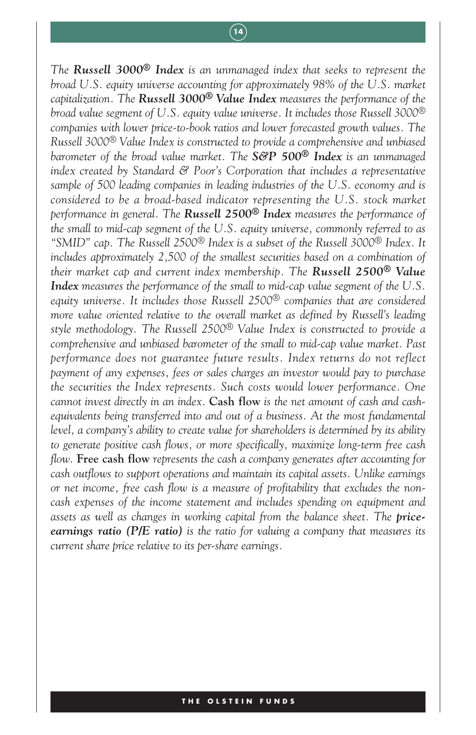# $(14)$

*The Russell 3000® Index is an unmanaged index that seeks to represent the broad U.S. equity universe accounting for approximately 98% of the U.S. market capitalization. The Russell 3000® Value Index measures the performance of the broad value segment of U.S. equity value universe. It includes those Russell 3000® companies with lower price-to-book ratios and lower forecasted growth values. The Russell 3000® Value Index is constructed to provide a comprehensive and unbiased barometer of the broad value market. The S&P 500® Index is an unmanaged index created by Standard & Poor's Corporation that includes a representative sample of 500 leading companies in leading industries of the U.S. economy and is considered to be a broad-based indicator representing the U.S. stock market performance in general. The Russell 2500® Index measures the performance of the small to mid-cap segment of the U.S. equity universe, commonly referred to as "SMID" cap. The Russell 2500® Index is a subset of the Russell 3000® Index. It includes approximately 2,500 of the smallest securities based on a combination of their market cap and current index membership. The Russell 2500® Value Index measures the performance of the small to mid-cap value segment of the U.S. equity universe. It includes those Russell 2500® companies that are considered more value oriented relative to the overall market as defined by Russell's leading style methodology. The Russell 2500® Value Index is constructed to provide a comprehensive and unbiased barometer of the small to mid-cap value market. Past performance does not guarantee future results. Index returns do not reflect payment of any expenses, fees or sales charges an investor would pay to purchase the securities the Index represents. Such costs would lower performance. One cannot invest directly in an index.* **Cash flow** *is the net amount of cash and cashequivalents being transferred into and out of a business. At the most fundamental level, a company's ability to create value for shareholders is determined by its ability to generate positive cash flows, or more specifically, maximize long-term free cash flow.* **Free cash flow** *represents the cash a company generates after accounting for cash outflows to support operations and maintain its capital assets. Unlike earnings or net income, free cash flow is a measure of profitability that excludes the noncash expenses of the income statement and includes spending on equipment and assets as well as changes in working capital from the balance sheet. The priceearnings ratio (P/E ratio) is the ratio for valuing a company that measures its current share price relative to its per-share earnings.*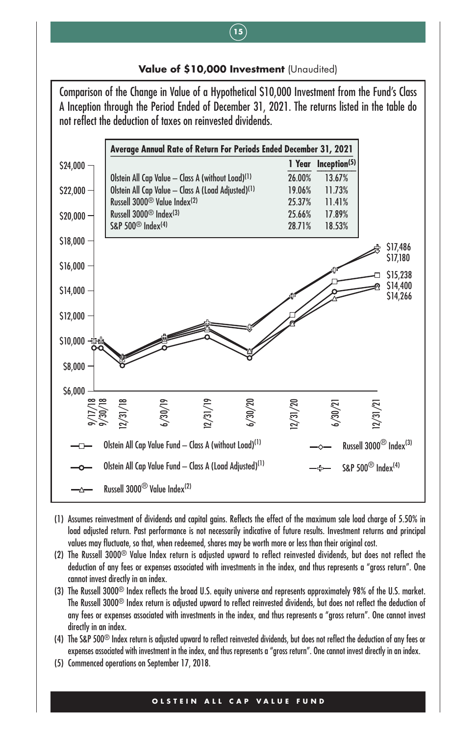### **Value of \$10,000 Investment** (Unaudited)

 $\sqrt{15}$ 

Comparison of the Change in Value of a Hypothetical \$10,000 Investment from the Fund's Class A Inception through the Period Ended of December 31, 2021. The returns listed in the table do not reflect the deduction of taxes on reinvested dividends.



- (1) Assumes reinvestment of dividends and capital gains. Reflects the effect of the maximum sale load charge of 5.50% in load adjusted return. Past performance is not necessarily indicative of future results. Investment returns and principal values may fluctuate, so that, when redeemed, shares may be worth more or less than their original cost.
- (2) The Russell 3000® Value Index return is adjusted upward to reflect reinvested dividends, but does not reflect the deduction of any fees or expenses associated with investments in the index, and thus represents a "gross return". One cannot invest directly in an index.
- (3) The Russell 3000® Index reflects the broad U.S. equity universe and represents approximately 98% of the U.S. market. The Russell 3000® Index return is adjusted upward to reflect reinvested dividends, but does not reflect the deduction of any fees or expenses associated with investments in the index, and thus represents a "gross return". One cannot invest directly in an index.
- (4) The S&P 500® Index return is adjusted upward to reflect reinvested dividends, but does not reflect the deduction of any fees or expenses associated with investment in the index, and thus represents a "gross return". One cannot invest directly in an index.
- (5) Commenced operations on September 17, 2018.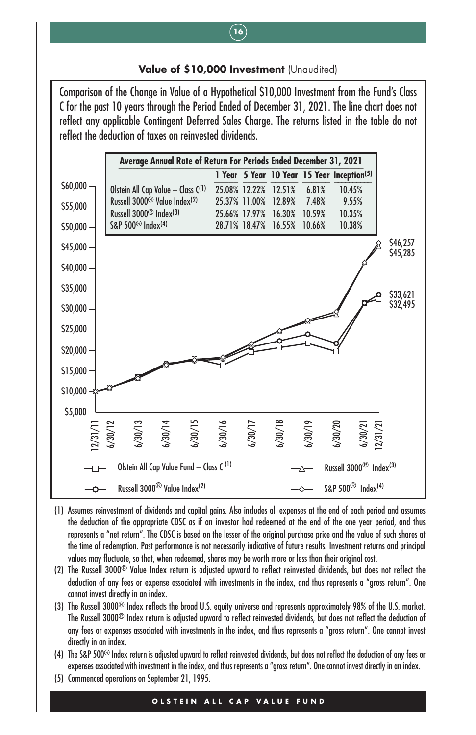

 $(16)$ 

Comparison of the Change in Value of a Hypothetical \$10,000 Investment from the Fund's Class C for the past 10 years through the Period Ended of December 31, 2021. The line chart does not reflect any applicable Contingent Deferred Sales Charge. The returns listed in the table do not reflect the deduction of taxes on reinvested dividends.



- (1) Assumes reinvestment of dividends and capital gains. Also includes all expenses at the end of each period and assumes the deduction of the appropriate CDSC as if an investor had redeemed at the end of the one year period, and thus represents a "net return". The CDSC is based on the lesser of the original purchase price and the value of such shares at the time of redemption. Past performance is not necessarily indicative of future results. Investment returns and principal values may fluctuate, so that, when redeemed, shares may be worth more or less than their original cost.
- (2) The Russell 3000® Value Index return is adjusted upward to reflect reinvested dividends, but does not reflect the deduction of any fees or expense associated with investments in the index, and thus represents a "gross return". One cannot invest directly in an index.
- (3) The Russell 3000® Index reflects the broad U.S. equity universe and represents approximately 98% of the U.S. market. The Russell 3000® Index return is adjusted upward to reflect reinvested dividends, but does not reflect the deduction of any fees or expenses associated with investments in the index, and thus represents a "gross return". One cannot invest directly in an index.
- (4) The S&P 500® Index return is adjusted upward to reflect reinvested dividends, but does not reflect the deduction of any fees or expenses associated with investment in the index, and thus represents a "gross return". One cannot invest directly in an index.
- (5) Commenced operations on September 21, 1995.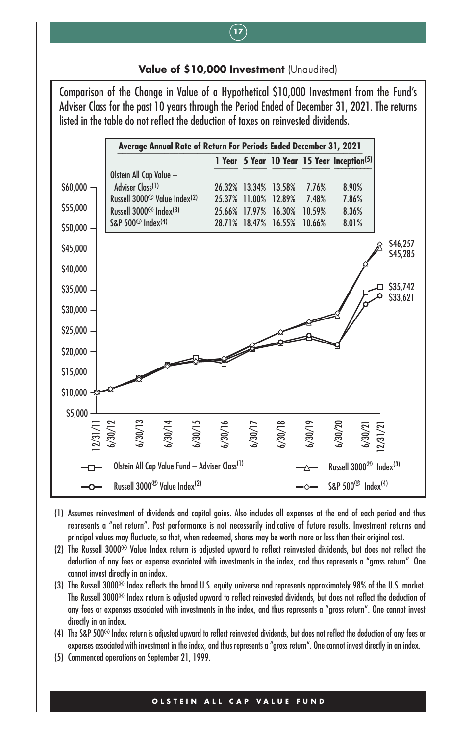

#### (1) Assumes reinvestment of dividends and capital gains. Also includes all expenses at the end of each period and thus represents a "net return". Past performance is not necessarily indicative of future results. Investment returns and principal values may fluctuate, so that, when redeemed, shares may be worth more or less than their original cost.

- (2) The Russell 3000® Value Index return is adjusted upward to reflect reinvested dividends, but does not reflect the deduction of any fees or expense associated with investments in the index, and thus represents a "gross return". One cannot invest directly in an index.
- (3) The Russell 3000® Index reflects the broad U.S. equity universe and represents approximately 98% of the U.S. market. The Russell 3000® Index return is adjusted upward to reflect reinvested dividends, but does not reflect the deduction of any fees or expenses associated with investments in the index, and thus represents a "gross return". One cannot invest directly in an index.
- (4) The S&P 500® Index return is adjusted upward to reflect reinvested dividends, but does not reflect the deduction of any fees or expenses associated with investment in the index, and thus represents a "gross return". One cannot invest directly in an index.
- (5) Commenced operations on September 21, 1999.

# **Value of \$10,000 Investment** (Unaudited)

 $\overrightarrow{17}$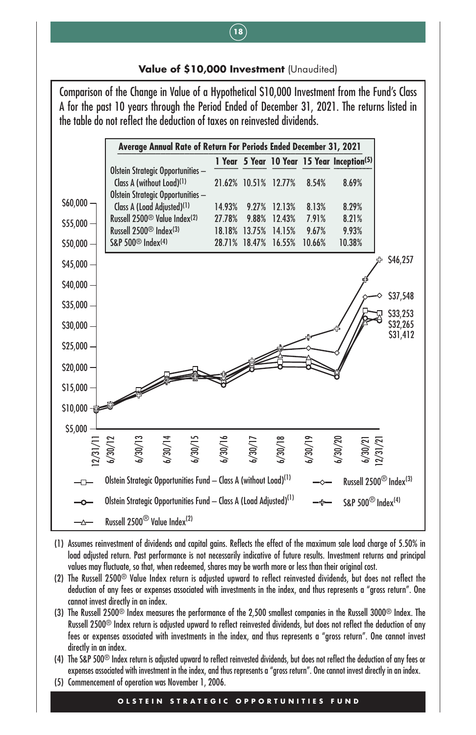

Comparison of the Change in Value of a Hypothetical \$10,000 Investment from the Fund's Class A for the past 10 years through the Period Ended of December 31, 2021. The returns listed in the table do not reflect the deduction of taxes on reinvested dividends.



- (1) Assumes reinvestment of dividends and capital gains. Reflects the effect of the maximum sale load charge of 5.50% in load adjusted return. Past performance is not necessarily indicative of future results. Investment returns and principal values may fluctuate, so that, when redeemed, shares may be worth more or less than their original cost.
- (2) The Russell 2500® Value Index return is adjusted upward to reflect reinvested dividends, but does not reflect the deduction of any fees or expenses associated with investments in the index, and thus represents a "gross return". One cannot invest directly in an index.
- (3) The Russell 2500® Index measures the performance of the 2,500 smallest companies in the Russell 3000® Index. The Russell 2500® Index return is adjusted upward to reflect reinvested dividends, but does not reflect the deduction of any fees or expenses associated with investments in the index, and thus represents a "gross return". One cannot invest directly in an index.
- (4) The S&P 500® Index return is adjusted upward to reflect reinvested dividends, but does not reflect the deduction of any fees or expenses associated with investment in the index, and thus represents a "gross return". One cannot invest directly in an index.
- (5) Commencement of operation was November 1, 2006.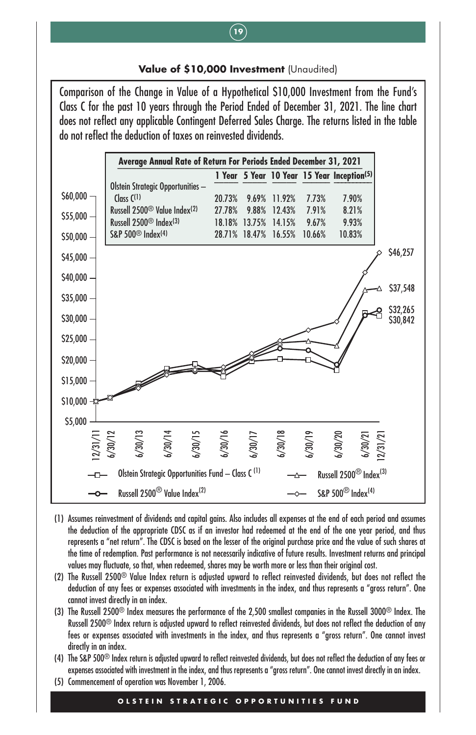#### **Value of \$10,000 Investment** (Unaudited)

**19**

Comparison of the Change in Value of a Hypothetical \$10,000 Investment from the Fund's Class C for the past 10 years through the Period Ended of December 31, 2021. The line chart does not reflect any applicable Contingent Deferred Sales Charge. The returns listed in the table do not reflect the deduction of taxes on reinvested dividends.



- (1) Assumes reinvestment of dividends and capital gains. Also includes all expenses at the end of each period and assumes the deduction of the appropriate CDSC as if an investor had redeemed at the end of the one year period, and thus represents a "net return". The CDSC is based on the lesser of the original purchase price and the value of such shares at the time of redemption. Past performance is not necessarily indicative of future results. Investment returns and principal values may fluctuate, so that, when redeemed, shares may be worth more or less than their original cost.
- (2) The Russell 2500® Value Index return is adjusted upward to reflect reinvested dividends, but does not reflect the deduction of any fees or expenses associated with investments in the index, and thus represents a "gross return". One cannot invest directly in an index.
- (3) The Russell 2500® Index measures the performance of the 2,500 smallest companies in the Russell 3000® Index. The Russell 2500® Index return is adjusted upward to reflect reinvested dividends, but does not reflect the deduction of any fees or expenses associated with investments in the index, and thus represents a "gross return". One cannot invest directly in an index.
- (4) The S&P 500® Index return is adjusted upward to reflect reinvested dividends, but does not reflect the deduction of any fees or expenses associated with investment in the index, and thus represents a "gross return". One cannot invest directly in an index.
- (5) Commencement of operation was November 1, 2006.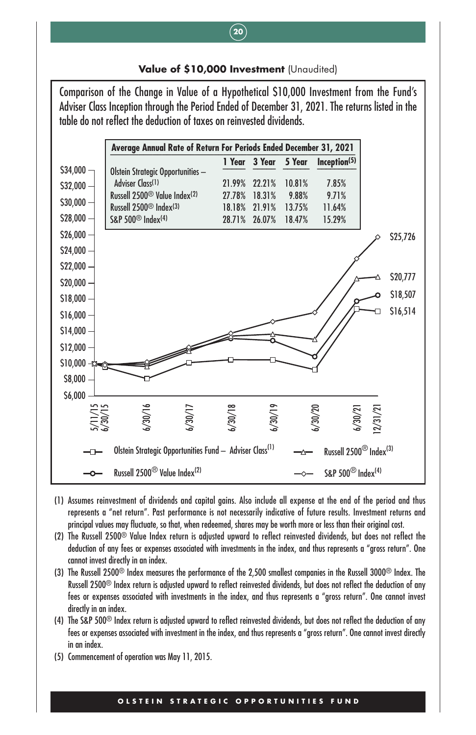

- (1) Assumes reinvestment of dividends and capital gains. Also include all expense at the end of the period and thus represents a "net return". Past performance is not necessarily indicative of future results. Investment returns and principal values may fluctuate, so that, when redeemed, shares may be worth more or less than their original cost.
- (2) The Russell 2500® Value Index return is adjusted upward to reflect reinvested dividends, but does not reflect the deduction of any fees or expenses associated with investments in the index, and thus represents a "gross return". One cannot invest directly in an index.
- (3) The Russell 2500® Index measures the performance of the 2,500 smallest companies in the Russell 3000® Index. The Russell 2500® Index return is adjusted upward to reflect reinvested dividends, but does not reflect the deduction of any fees or expenses associated with investments in the index, and thus represents a "gross return". One cannot invest directly in an index.
- (4) The S&P 500® Index return is adjusted upward to reflect reinvested dividends, but does not reflect the deduction of any fees or expenses associated with investment in the index, and thus represents a "gross return". One cannot invest directly in an index.
- (5) Commencement of operation was May 11, 2015.

## **Value of \$10,000 Investment** (Unaudited)

**20**

Comparison of the Change in Value of a Hypothetical \$10,000 Investment from the Fund's Adviser Class Inception through the Period Ended of December 31, 2021. The returns listed in the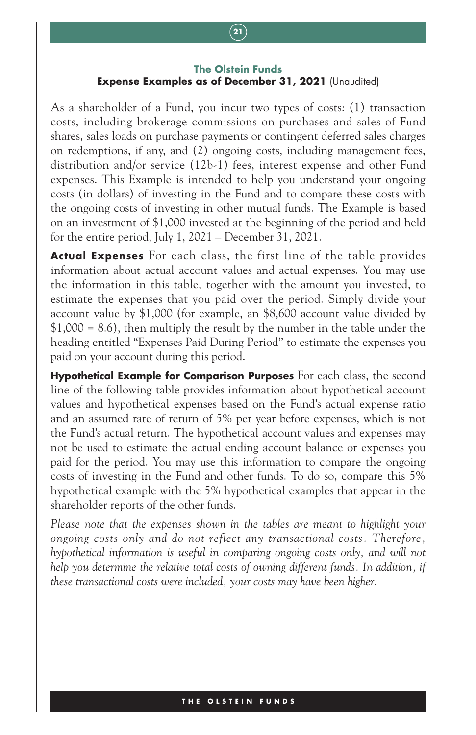#### **The Olstein Funds Expense Examples as of December 31, 2021** (Unaudited)

As a shareholder of a Fund, you incur two types of costs: (1) transaction costs, including brokerage commissions on purchases and sales of Fund shares, sales loads on purchase payments or contingent deferred sales charges on redemptions, if any, and (2) ongoing costs, including management fees, distribution and/or service (12b-1) fees, interest expense and other Fund expenses. This Example is intended to help you understand your ongoing costs (in dollars) of investing in the Fund and to compare these costs with the ongoing costs of investing in other mutual funds. The Example is based on an investment of \$1,000 invested at the beginning of the period and held for the entire period, July 1, 2021 – December 31, 2021.

**Actual Expenses** For each class, the first line of the table provides information about actual account values and actual expenses. You may use the information in this table, together with the amount you invested, to estimate the expenses that you paid over the period. Simply divide your account value by \$1,000 (for example, an \$8,600 account value divided by  $$1,000 = 8.6$ , then multiply the result by the number in the table under the heading entitled "Expenses Paid During Period'' to estimate the expenses you paid on your account during this period.

**Hypothetical Example for Comparison Purposes** For each class, the second line of the following table provides information about hypothetical account values and hypothetical expenses based on the Fund's actual expense ratio and an assumed rate of return of 5% per year before expenses, which is not the Fund's actual return. The hypothetical account values and expenses may not be used to estimate the actual ending account balance or expenses you paid for the period. You may use this information to compare the ongoing costs of investing in the Fund and other funds. To do so, compare this 5% hypothetical example with the 5% hypothetical examples that appear in the shareholder reports of the other funds.

*Please note that the expenses shown in the tables are meant to highlight your ongoing costs only and do not reflect any transactional costs. Therefore, hypothetical information is useful in comparing ongoing costs only, and will not help you determine the relative total costs of owning different funds. In addition, if these transactional costs were included, your costs may have been higher.*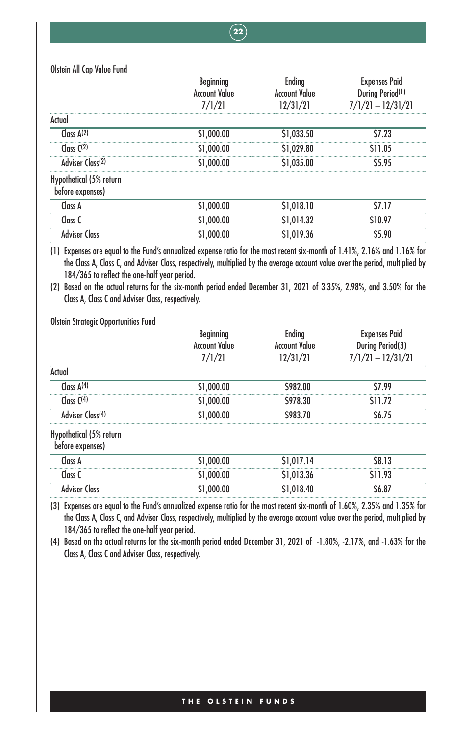Olstein All Cap Value Fund

|                                             | Beginning<br>Account Value<br>7/1/21 | <b>Account Value</b><br>12/31/21 | <b>Expenses Paid</b><br>During Period(1)<br>$7/1/21 - 12/31/21$ |
|---------------------------------------------|--------------------------------------|----------------------------------|-----------------------------------------------------------------|
|                                             |                                      |                                  |                                                                 |
| $\int$ lnss $\Delta$ (2)                    | \$1,000.00                           | \$1,033.50                       |                                                                 |
| $\int$ ( $\int$ ( $\int$ )                  | \$1.000.00                           | S1.029.80                        | 1 N S                                                           |
| Adviser Class <sup>(2)</sup>                |                                      | 035 OO                           |                                                                 |
| Hypothetical (5% return<br>before expenses) |                                      |                                  |                                                                 |
|                                             | \$1,000.00                           | \$1,018.10                       |                                                                 |
| Tucc (                                      | S1.000.00                            | S1.014.32                        | N 97                                                            |
| vicer ( Incc                                |                                      |                                  |                                                                 |
|                                             |                                      |                                  |                                                                 |

(1) Expenses are equal to the Fund's annualized expense ratio for the most recent six-month of 1.41%, 2.16% and 1.16% for the Class A, Class C, and Adviser Class, respectively, multiplied by the average account value over the period, multiplied by 184/365 to reflect the one-half year period.

(2) Based on the actual returns for the six-month period ended December 31, 2021 of 3.35%, 2.98%, and 3.50% for the Class A, Class C and Adviser Class, respectively.

Olstein Strategic Opportunities Fund

|                                             |                      |                      | <b>Expenses Paid</b>                  |  |
|---------------------------------------------|----------------------|----------------------|---------------------------------------|--|
|                                             | <b>Account Value</b> | <b>Account Value</b> |                                       |  |
|                                             | 7/1/21               | 12/31/21             | During Period(3)<br>7/1/21 - 12/31/21 |  |
| Actual                                      |                      |                      |                                       |  |
| Class $A(4)$                                | \$1,000.00           | \$982.00             | \$7 99                                |  |
| Class $C(4)$                                | \$1,000.00           | \$978.30             | 179                                   |  |
| Adviser Class <sup>(4)</sup>                | .000.00              |                      |                                       |  |
| Hypothetical (5% return<br>before expenses) |                      |                      |                                       |  |
| Clucc N                                     | \$1,000.00           | \$1.017.14           | <b>¢R 13</b>                          |  |
| Class C                                     | S1.000.00            | \$1,013.36           |                                       |  |
| <b>Adviser Class</b>                        |                      |                      |                                       |  |

(3) Expenses are equal to the Fund's annualized expense ratio for the most recent six-month of 1.60%, 2.35% and 1.35% for the Class A, Class C, and Adviser Class, respectively, multiplied by the average account value over the period, multiplied by 184/365 to reflect the one-half year period.

(4) Based on the actual returns for the six-month period ended December 31, 2021 of -1.80%, -2.17%, and -1.63% for the Class A, Class C and Adviser Class, respectively.

# **22**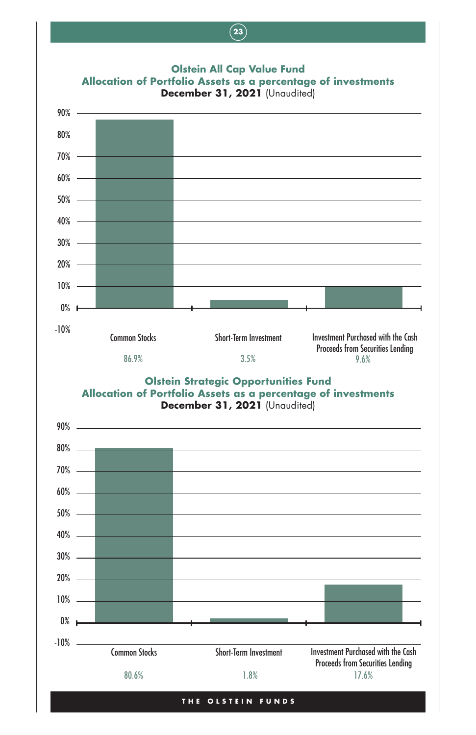

#### **Olstein All Cap Value Fund Allocation of Portfolio Assets as a percentage of investments December 31, 2021** (Unaudited)

## **Allocation of Portfolio Assets as a percentage of investments December 31, 2021** (Unaudited)

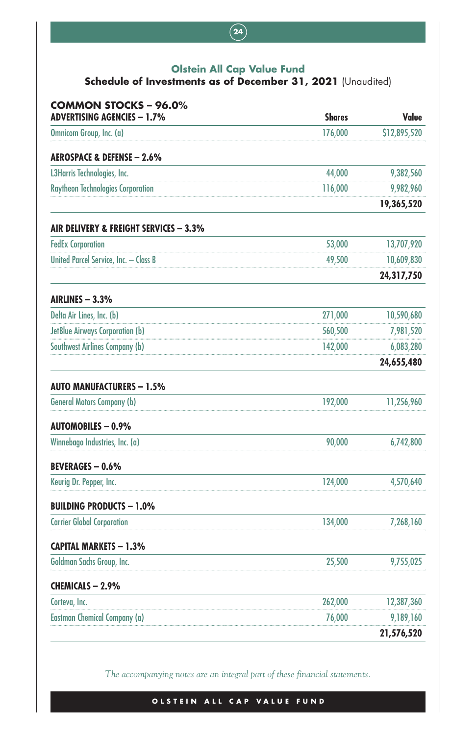## **Olstein All Cap Value Fund**

 $(24)$ 

**Schedule of Investments as of December 31, 2021** (Unaudited)

| <b>COMMON STOCKS - 96.0%</b><br><b>ADVERTISING AGENCIES - 1.7%</b> | <b>Shares</b> | Value        |
|--------------------------------------------------------------------|---------------|--------------|
| Omnicom Group, Inc. (a)                                            | 176,000       | \$12,895,520 |
| <b>AEROSPACE &amp; DEFENSE - 2.6%</b>                              |               |              |
| L3Harris Technologies, Inc.                                        | 44,000        | 9,382,560    |
| <b>Raytheon Technologies Corporation</b>                           | 116,000       | 9,982,960    |
|                                                                    |               | 19,365,520   |
| AIR DELIVERY & FREIGHT SERVICES - 3.3%                             |               |              |
| <b>FedEx Corporation</b>                                           | 53,000        | 13,707,920   |
| United Parcel Service, Inc. - Class B                              | 49,500        | 10,609,830   |
|                                                                    |               | 24,317,750   |
| AIRLINES $-3.3%$                                                   |               |              |
| Delta Air Lines, Inc. (b)                                          | 271,000       | 10,590,680   |
| JetBlue Airways Corporation (b)                                    | 560,500       | 7,981,520    |
| Southwest Airlines Company (b)                                     | 142,000       | 6,083,280    |
|                                                                    |               | 24,655,480   |
| <b>AUTO MANUFACTURERS - 1.5%</b>                                   |               |              |
| <b>General Motors Company (b)</b>                                  | 192,000       | 11,256,960   |
| <b>AUTOMOBILES - 0.9%</b>                                          |               |              |
| Winnebago Industries, Inc. (a)                                     | 90,000        | 6,742,800    |
| <b>BEVERAGES - 0.6%</b>                                            |               |              |
| Keurig Dr. Pepper, Inc.                                            | 124,000       | 4,570,640    |
| <b>BUILDING PRODUCTS - 1.0%</b>                                    |               |              |
| <b>Carrier Global Corporation</b>                                  | 134,000       | 7,268,160    |
| <b>CAPITAL MARKETS - 1.3%</b>                                      |               |              |
| Goldman Sachs Group, Inc.                                          | 25,500        | 9,755,025    |
| CHEMICALS - 2.9%                                                   |               |              |
| Corteva, Inc.                                                      | 262,000       | 12,387,360   |
| Eastman Chemical Company (a)                                       | 76,000        | 9,189,160    |
|                                                                    |               | 21,576,520   |

*The accompanying notes are an integral part of these financial statements.*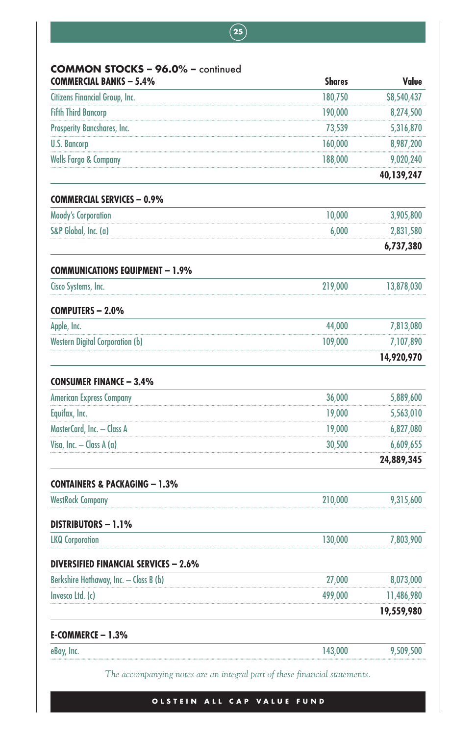| <b>COMMON STOCKS - 96.0% - continued</b><br><b>COMMERCIAL BANKS - 5.4%</b> | <b>Shares</b> | Value       |
|----------------------------------------------------------------------------|---------------|-------------|
| Citizens Financial Group, Inc.                                             | 180,750       | \$8,540,437 |
| <b>Fifth Third Bancorp</b>                                                 | 190,000       | 8,274,500   |
| Prosperity Bancshares, Inc.                                                | 73,539        | 5,316,870   |
| <b>U.S. Bancorp</b>                                                        | 160,000       | 8,987,200   |
| <b>Wells Fargo &amp; Company</b>                                           | 188,000       | 9,020,240   |
|                                                                            |               | 40,139,247  |
| <b>COMMERCIAL SERVICES - 0.9%</b>                                          |               |             |
| <b>Moody's Corporation</b>                                                 | 10,000        | 3,905,800   |
| S&P Global, Inc. (a)                                                       | 6,000         | 2,831,580   |
|                                                                            |               | 6,737,380   |
| <b>COMMUNICATIONS EQUIPMENT - 1.9%</b>                                     |               |             |
| Cisco Systems, Inc.                                                        | 219,000       | 13,878,030  |
| <b>COMPUTERS - 2.0%</b>                                                    |               |             |
| Apple, Inc.                                                                | 44,000        | 7,813,080   |
| <b>Western Digital Corporation (b)</b>                                     | 109,000       | 7,107,890   |
|                                                                            |               | 14,920,970  |
| <b>CONSUMER FINANCE - 3.4%</b>                                             |               |             |
| <b>American Express Company</b>                                            | 36,000        | 5,889,600   |
| Equifax, Inc.                                                              | 19,000        | 5,563,010   |
| MasterCard, Inc. - Class A                                                 | 19,000        | 6,827,080   |
| Visa, Inc. - Class A (a)                                                   | 30,500        | 6,609,655   |
|                                                                            |               | 24,889,345  |
| <b>CONTAINERS &amp; PACKAGING - 1.3%</b>                                   |               |             |
| <b>WestRock Company</b>                                                    | 210,000       | 9,315,600   |
| DISTRIBUTORS - 1.1%                                                        |               |             |
| <b>LKQ Corporation</b>                                                     | 130,000       | 7,803,900   |
| <b>DIVERSIFIED FINANCIAL SERVICES - 2.6%</b>                               |               |             |
| Berkshire Hathaway, Inc. - Class B (b)                                     | 27,000        | 8,073,000   |
| Invesco Ltd. (c)                                                           | 499,000       | 11,486,980  |
|                                                                            |               | 19,559,980  |
| E-COMMERCE $-1.3%$                                                         |               |             |
| eBay, Inc.                                                                 | 143,000       | 9,509,500   |
|                                                                            |               |             |

*The accompanying notes are an integral part of these financial statements.*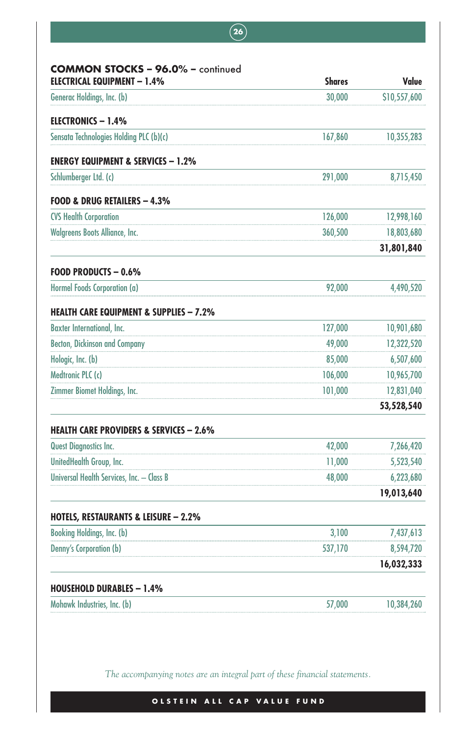| <b>COMMON STOCKS - 96.0% - continued</b><br><b>ELECTRICAL EQUIPMENT - 1.4%</b> | <b>Shares</b> | Value        |
|--------------------------------------------------------------------------------|---------------|--------------|
| Generac Holdings, Inc. (b)                                                     | 30,000        | \$10,557,600 |
| <b>ELECTRONICS - 1.4%</b>                                                      |               |              |
| Sensata Technologies Holding PLC (b)(c)                                        | 167,860       | 10,355,283   |
| <b>ENERGY EQUIPMENT &amp; SERVICES - 1.2%</b>                                  |               |              |
| Schlumberger Ltd. (c)                                                          | 291,000       | 8,715,450    |
| <b>FOOD &amp; DRUG RETAILERS - 4.3%</b>                                        |               |              |
| <b>CVS Health Corporation</b>                                                  | 126,000       | 12,998,160   |
| Walgreens Boots Alliance, Inc.                                                 | 360,500       | 18,803,680   |
|                                                                                |               | 31,801,840   |
| FOOD PRODUCTS - 0.6%                                                           |               |              |
| Hormel Foods Corporation (a)                                                   | 92,000        | 4,490,520    |
| <b>HEALTH CARE EQUIPMENT &amp; SUPPLIES - 7.2%</b>                             |               |              |
| Baxter International, Inc.                                                     | 127,000       | 10,901,680   |
| <b>Becton, Dickinson and Company</b>                                           | 49,000        | 12,322,520   |
| Hologic, Inc. (b)                                                              | 85,000        | 6,507,600    |
| Medtronic PLC (c)                                                              | 106,000       | 10,965,700   |
| Zimmer Biomet Holdings, Inc.                                                   | 101,000       | 12,831,040   |
|                                                                                |               | 53,528,540   |
| <b>HEALTH CARE PROVIDERS &amp; SERVICES – 2.6%</b>                             |               |              |
| <b>Quest Diagnostics Inc.</b>                                                  | 42,000        | 7,266,420    |
| UnitedHealth Group, Inc.                                                       | 11,000        | 5,523,540    |
| Universal Health Services, Inc. - Class B                                      | 48,000        | 6,223,680    |
|                                                                                |               | 19,013,640   |
| <b>HOTELS, RESTAURANTS &amp; LEISURE - 2.2%</b>                                |               |              |
| Booking Holdings, Inc. (b)                                                     | 3,100         | 7,437,613    |
| Denny's Corporation (b)                                                        | 537,170       | 8,594,720    |
|                                                                                |               | 16,032,333   |
| <b>HOUSEHOLD DURABLES - 1.4%</b>                                               |               |              |
| Mohawk Industries, Inc. (b)                                                    | 57,000        | 10,384,260   |

*The accompanying notes are an integral part of these financial statements.*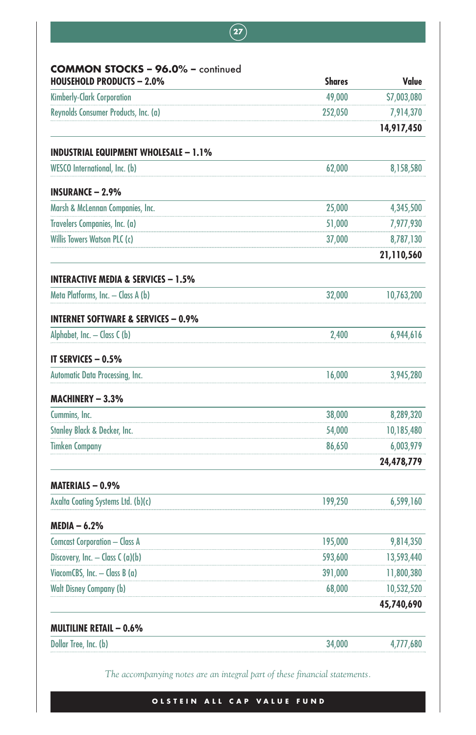| <b>COMMON STOCKS - 96.0% - continued</b><br><b>HOUSEHOLD PRODUCTS - 2.0%</b> | <b>Shares</b> | Value       |
|------------------------------------------------------------------------------|---------------|-------------|
| <b>Kimberly-Clark Corporation</b>                                            | 49,000        | \$7,003,080 |
| Reynolds Consumer Products, Inc. (a)                                         | 252,050       | 7,914,370   |
|                                                                              |               | 14,917,450  |
| <b>INDUSTRIAL EQUIPMENT WHOLESALE - 1.1%</b>                                 |               |             |
| WESCO International, Inc. (b)                                                | 62,000        | 8,158,580   |
| <b>INSURANCE - 2.9%</b>                                                      |               |             |
| Marsh & McLennan Companies, Inc.                                             | 25,000        | 4,345,500   |
| Travelers Companies, Inc. (a)                                                | 51,000        | 7,977,930   |
| <b>Willis Towers Watson PLC (c)</b>                                          | 37,000        | 8,787,130   |
|                                                                              |               | 21,110,560  |
| <b>INTERACTIVE MEDIA &amp; SERVICES - 1.5%</b>                               |               |             |
| Meta Platforms, Inc. - Class A (b)                                           | 32,000        | 10,763,200  |
| <b>INTERNET SOFTWARE &amp; SERVICES - 0.9%</b>                               |               |             |
| Alphabet, Inc. $-$ Class C (b)                                               | 2,400         | 6,944,616   |
| IT SERVICES - 0.5%                                                           |               |             |
| Automatic Data Processing, Inc.                                              | 16,000        | 3,945,280   |
| $MACHINERY - 3.3%$                                                           |               |             |
| Cummins, Inc.                                                                | 38,000        | 8,289,320   |
| Stanley Black & Decker, Inc.                                                 | 54,000        | 10,185,480  |
| <b>Timken Company</b>                                                        | 86,650        | 6,003,979   |
|                                                                              |               | 24,478,779  |
| <b>MATERIALS - 0.9%</b>                                                      |               |             |
| Axalta Coating Systems Ltd. (b)(c)                                           | 199,250       | 6,599,160   |
| $MEDIA - 6.2%$                                                               |               |             |
| <b>Comcast Corporation - Class A</b>                                         | 195,000       | 9,814,350   |
| Discovery, Inc. - Class C (a)(b)                                             | 593,600       | 13,593,440  |
| ViacomCBS, Inc. - Class B (a)                                                | 391,000       | 11,800,380  |
| <b>Walt Disney Company (b)</b>                                               | 68,000        | 10,532,520  |
|                                                                              |               | 45,740,690  |
| <b>MULTILINE RETAIL - 0.6%</b>                                               |               |             |
| Dollar Tree, Inc. (b)                                                        | 34,000        | 4,777,680   |

*The accompanying notes are an integral part of these financial statements.*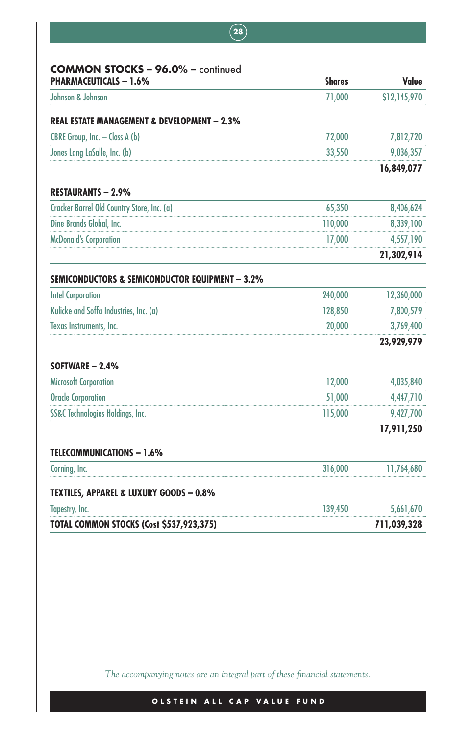| <b>COMMON STOCKS - 96.0% - continued</b><br><b>PHARMACEUTICALS - 1.6%</b> | <b>Shares</b> | Value        |
|---------------------------------------------------------------------------|---------------|--------------|
| Johnson & Johnson                                                         | 71,000        | \$12,145,970 |
|                                                                           |               |              |
| <b>REAL ESTATE MANAGEMENT &amp; DEVELOPMENT - 2.3%</b>                    |               |              |
| CBRE Group, Inc. - Class A (b)                                            | 72,000        | 7,812,720    |
| Jones Lang LaSalle, Inc. (b)                                              | 33,550        | 9,036,357    |
|                                                                           |               | 16,849,077   |
| <b>RESTAURANTS - 2.9%</b>                                                 |               |              |
| Cracker Barrel Old Country Store, Inc. (a)                                | 65,350        | 8,406,624    |
| Dine Brands Global, Inc.                                                  | 110,000       | 8,339,100    |
| <b>McDonald's Corporation</b>                                             | 17,000        | 4,557,190    |
|                                                                           |               | 21,302,914   |
| SEMICONDUCTORS & SEMICONDUCTOR EQUIPMENT - 3.2%                           |               |              |
| <b>Intel Corporation</b>                                                  | 240,000       | 12,360,000   |
| Kulicke and Soffa Industries, Inc. (a)                                    | 128,850       | 7,800,579    |
| Texas Instruments, Inc.                                                   | 20,000        | 3,769,400    |
|                                                                           |               | 23,929,979   |
| SOFTWARE - 2.4%                                                           |               |              |
| <b>Microsoft Corporation</b>                                              | 12,000        | 4,035,840    |
| <b>Oracle Corporation</b>                                                 | 51,000        | 4,447,710    |
| SS&C Technologies Holdings, Inc.                                          | 115,000       | 9,427,700    |
|                                                                           |               | 17,911,250   |
| <b>TELECOMMUNICATIONS - 1.6%</b>                                          |               |              |
| Corning, Inc.                                                             | 316,000       | 11,764,680   |
| <b>TEXTILES, APPAREL &amp; LUXURY GOODS - 0.8%</b>                        |               |              |
| Tapestry, Inc.                                                            | 139,450       | 5,661,670    |
| <b>TOTAL COMMON STOCKS (Cost \$537,923,375)</b>                           |               | 711,039,328  |

*The accompanying notes are an integral part of these financial statements.*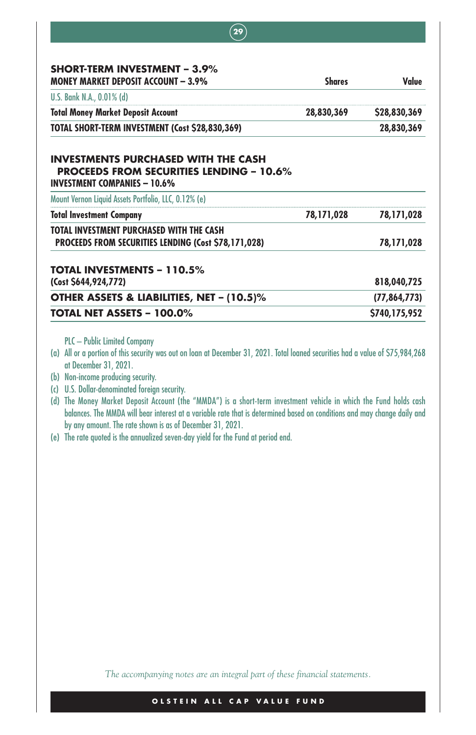| 29 <sup>2</sup>                                                                                         |               |                |
|---------------------------------------------------------------------------------------------------------|---------------|----------------|
| <b>SHORT-TERM INVESTMENT - 3.9%</b><br><b>MONEY MARKET DEPOSIT ACCOUNT - 3.9%</b>                       | <b>Shares</b> | Value          |
| U.S. Bank N.A., 0.01% (d)                                                                               |               |                |
| <b>Total Money Market Deposit Account</b>                                                               | 28,830,369    | \$28,830,369   |
| TOTAL SHORT-TERM INVESTMENT (Cost \$28,830,369)                                                         |               | 28,830,369     |
| <b>PROCEEDS FROM SECURITIES LENDING - 10.6%</b><br><b>INVESTMENT COMPANIES - 10.6%</b>                  |               |                |
| Mount Vernon Liquid Assets Portfolio, LLC, 0.12% (e)                                                    |               |                |
| <b>Total Investment Company</b>                                                                         | 78,171,028    | 78,171,028     |
| TOTAL INVESTMENT PURCHASED WITH THE CASH<br><b>PROCEEDS FROM SECURITIES LENDING (Cost \$78,171,028)</b> |               | 78,171,028     |
| TOTAL INVESTMENTS - 110.5%                                                                              |               |                |
| (Cost \$644,924,772)                                                                                    |               | 818,040,725    |
| OTHER ASSETS & LIABILITIES, NET – (10.5)%                                                               |               | (77, 864, 773) |
| TOTAL NET ASSETS – 100.0%                                                                               |               | \$740,175,952  |

PLC – Public Limited Company

(a) All or a portion of this security was out on loan at December 31, 2021. Total loaned securities had a value of \$75,984,268 at December 31, 2021.

(b) Non-income producing security.

(c) U.S. Dollar-denominated foreign security.

(d) The Money Market Deposit Account (the "MMDA") is a short-term investment vehicle in which the Fund holds cash balances. The MMDA will bear interest at a variable rate that is determined based on conditions and may change daily and by any amount. The rate shown is as of December 31, 2021.

(e) The rate quoted is the annualized seven-day yield for the Fund at period end.

*The accompanying notes are an integral part of these financial statements.*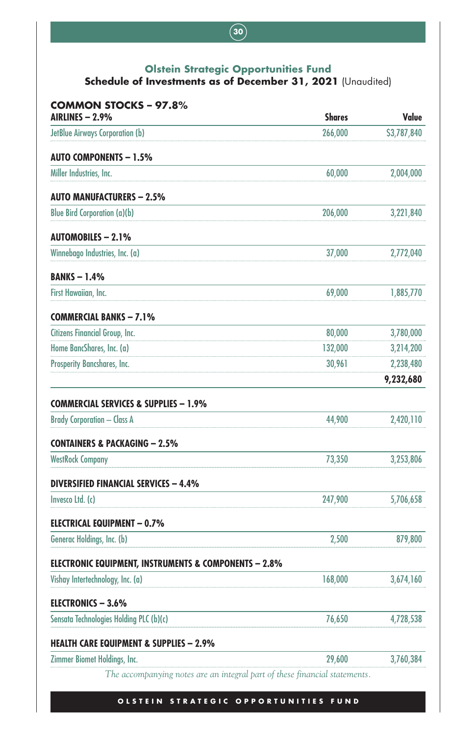## **Olstein Strategic Opportunities Fund**

**Schedule of Investments as of December 31, 2021** (Unaudited)

| AIRLINES $-2.9%$                                                 | <b>Shares</b> | Value       |
|------------------------------------------------------------------|---------------|-------------|
| JetBlue Airways Corporation (b)                                  | 266,000       | \$3,787,840 |
| <b>AUTO COMPONENTS - 1.5%</b>                                    |               |             |
| Miller Industries, Inc.                                          | 60,000        | 2,004,000   |
| <b>AUTO MANUFACTURERS - 2.5%</b>                                 |               |             |
| <b>Blue Bird Corporation (a)(b)</b>                              | 206,000       | 3,221,840   |
| <b>AUTOMOBILES - 2.1%</b>                                        |               |             |
| Winnebago Industries, Inc. (a)                                   | 37,000        | 2,772,040   |
| <b>BANKS-1.4%</b>                                                |               |             |
| First Hawaiian, Inc.                                             | 69,000        | 1,885,770   |
| <b>COMMERCIAL BANKS - 7.1%</b>                                   |               |             |
| Citizens Financial Group, Inc.                                   | 80,000        | 3,780,000   |
| Home BancShares, Inc. (a)                                        | 132,000       | 3,214,200   |
| Prosperity Bancshares, Inc.                                      | 30,961        | 2,238,480   |
|                                                                  |               | 9,232,680   |
| <b>COMMERCIAL SERVICES &amp; SUPPLIES - 1.9%</b>                 |               |             |
| <b>Brady Corporation - Class A</b>                               | 44,900        | 2,420,110   |
| <b>CONTAINERS &amp; PACKAGING - 2.5%</b>                         |               |             |
| <b>WestRock Company</b>                                          | 73,350        | 3,253,806   |
| <b>DIVERSIFIED FINANCIAL SERVICES - 4.4%</b>                     |               |             |
| Invesco Ltd. (c)                                                 | 247,900       | 5,706,658   |
| <b>ELECTRICAL EQUIPMENT - 0.7%</b>                               |               |             |
| Generac Holdings, Inc. (b)                                       | 2,500         | 879,800     |
| <b>ELECTRONIC EQUIPMENT, INSTRUMENTS &amp; COMPONENTS - 2.8%</b> |               |             |
| Vishay Intertechnology, Inc. (a)                                 | 168,000       | 3,674,160   |
| <b>ELECTRONICS - 3.6%</b>                                        |               |             |
| Sensata Technologies Holding PLC (b)(c)                          | 76,650        | 4,728,538   |
| <b>HEALTH CARE EQUIPMENT &amp; SUPPLIES - 2.9%</b>               |               |             |
| Zimmer Biomet Holdings, Inc.                                     | 29,600        | 3,760,384   |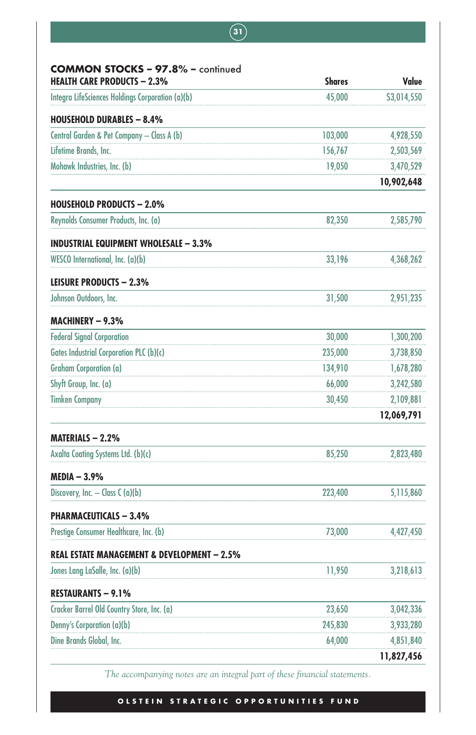| <b>HEALTH CARE PRODUCTS - 2.3%</b>                     | <b>Shares</b> | Value       |
|--------------------------------------------------------|---------------|-------------|
| Integra LifeSciences Holdings Corporation (a)(b)       | 45,000        | \$3,014,550 |
| <b>HOUSEHOLD DURABLES - 8.4%</b>                       |               |             |
| Central Garden & Pet Company - Class A (b)             | 103,000       | 4,928,550   |
| Lifetime Brands, Inc.                                  | 156,767       | 2,503,569   |
| Mohawk Industries, Inc. (b)                            | 19,050        | 3,470,529   |
|                                                        |               | 10,902,648  |
| <b>HOUSEHOLD PRODUCTS - 2.0%</b>                       |               |             |
| Reynolds Consumer Products, Inc. (a)                   | 82,350        | 2,585,790   |
| <b>INDUSTRIAL EQUIPMENT WHOLESALE - 3.3%</b>           |               |             |
| WESCO International, Inc. (a)(b)                       | 33,196        | 4,368,262   |
| <b>LEISURE PRODUCTS - 2.3%</b>                         |               |             |
| Johnson Outdoors, Inc.                                 | 31,500        | 2,951,235   |
| <b>MACHINERY - 9.3%</b>                                |               |             |
| <b>Federal Signal Corporation</b>                      | 30,000        | 1,300,200   |
| Gates Industrial Corporation PLC (b)(c)                | 235,000       | 3,738,850   |
| Graham Corporation (a)                                 | 134,910       | 1,678,280   |
| Shyft Group, Inc. (a)                                  | 66,000        | 3,242,580   |
| <b>Timken Company</b>                                  | 30,450        | 2,109,881   |
|                                                        |               | 12,069,791  |
| MATERIALS - 2.2%                                       |               |             |
| Axalta Coating Systems Ltd. (b)(c)                     | 85,250        | 2,823,480   |
| $MEDIA - 3.9%$                                         |               |             |
| Discovery, Inc. $-$ Class C (a)(b)                     | 223,400       | 5,115,860   |
| <b>PHARMACEUTICALS - 3.4%</b>                          |               |             |
| Prestige Consumer Healthcare, Inc. (b)                 | 73,000        | 4,427,450   |
| <b>REAL ESTATE MANAGEMENT &amp; DEVELOPMENT - 2.5%</b> |               |             |
| Jones Lang LaSalle, Inc. (a)(b)                        | 11,950        | 3,218,613   |
| <b>RESTAURANTS - 9.1%</b>                              |               |             |
| Cracker Barrel Old Country Store, Inc. (a)             | 23,650        | 3,042,336   |
| Denny's Corporation (a)(b)                             | 245,830       | 3,933,280   |
| Dine Brands Global, Inc.                               | 64,000        | 4,851,840   |
|                                                        |               | 11,827,456  |

*The accompanying notes are an integral part of these financial statements.*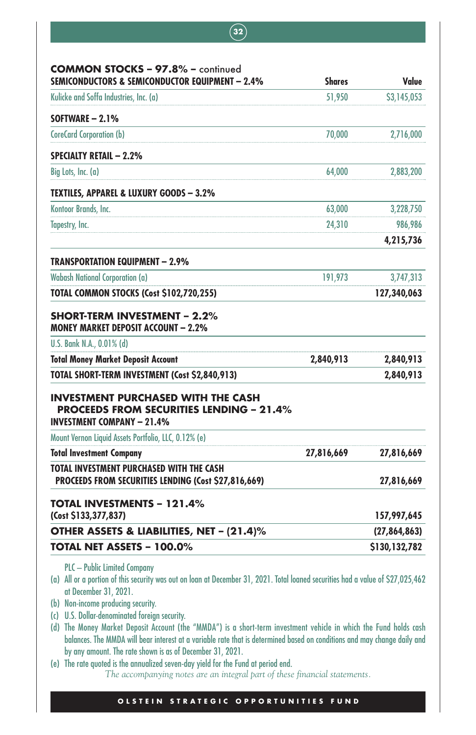| $\bf(32)$                                                                                                                         |               |                |
|-----------------------------------------------------------------------------------------------------------------------------------|---------------|----------------|
| <b>COMMON STOCKS - 97.8% - continued</b><br>SEMICONDUCTORS & SEMICONDUCTOR EQUIPMENT - 2.4%                                       | <b>Shares</b> | Value          |
| Kulicke and Soffa Industries, Inc. (a)                                                                                            | 51,950        | \$3,145,053    |
| SOFTWARE $-2.1%$                                                                                                                  |               |                |
| <b>CoreCard Corporation (b)</b>                                                                                                   | 70,000        | 2,716,000      |
| <b>SPECIALTY RETAIL - 2.2%</b>                                                                                                    |               |                |
| Big Lots, Inc. (a)                                                                                                                | 64.000        | 2,883,200      |
| <b>TEXTILES, APPAREL &amp; LUXURY GOODS - 3.2%</b>                                                                                |               |                |
| Kontoor Brands, Inc.                                                                                                              | 63,000        | 3,228,750      |
| Tapestry, Inc.                                                                                                                    | 24,310        | 986,986        |
|                                                                                                                                   |               | 4,215,736      |
| <b>TRANSPORTATION EQUIPMENT - 2.9%</b>                                                                                            |               |                |
| <b>Wabash National Corporation (a)</b>                                                                                            | 191,973       | 3,747,313      |
| TOTAL COMMON STOCKS (Cost \$102,720,255)                                                                                          |               | 127,340,063    |
| <b>SHORT-TERM INVESTMENT - 2.2%</b><br><b>MONEY MARKET DEPOSIT ACCOUNT - 2.2%</b>                                                 |               |                |
| U.S. Bank N.A., 0.01% (d)                                                                                                         |               |                |
| <b>Total Money Market Deposit Account</b>                                                                                         | 2,840,913     | 2,840,913      |
| TOTAL SHORT-TERM INVESTMENT (Cost \$2,840,913)                                                                                    |               | 2,840,913      |
| <b>INVESTMENT PURCHASED WITH THE CASH</b><br><b>PROCEEDS FROM SECURITIES LENDING - 21.4%</b><br><b>INVESTMENT COMPANY - 21.4%</b> |               |                |
| Mount Vernon Liquid Assets Portfolio, LLC, 0.12% (e)                                                                              |               |                |
| <b>Total Investment Company</b>                                                                                                   | 27,816,669    | 27,816,669     |
| TOTAL INVESTMENT PURCHASED WITH THE CASH<br>PROCEEDS FROM SECURITIES LENDING (Cost \$27,816,669)                                  |               | 27,816,669     |
| TOTAL INVESTMENTS - 121.4%<br>(Cost \$133,377,837)                                                                                |               | 157,997,645    |
| OTHER ASSETS & LIABILITIES, NET - (21.4)%                                                                                         |               | (27, 864, 863) |
|                                                                                                                                   |               |                |

PLC – Public Limited Company

(a) All or a portion of this security was out on loan at December 31, 2021. Total loaned securities had a value of \$27,025,462 at December 31, 2021.

(b) Non-income producing security.

- (c) U.S. Dollar-denominated foreign security.
- (d) The Money Market Deposit Account (the "MMDA") is a short-term investment vehicle in which the Fund holds cash balances. The MMDA will bear interest at a variable rate that is determined based on conditions and may change daily and by any amount. The rate shown is as of December 31, 2021.
- (e) The rate quoted is the annualized seven-day yield for the Fund at period end.

*The accompanying notes are an integral part of these financial statements.*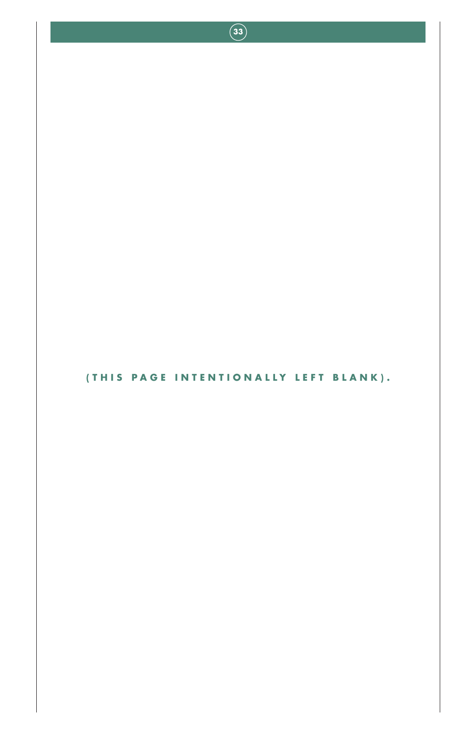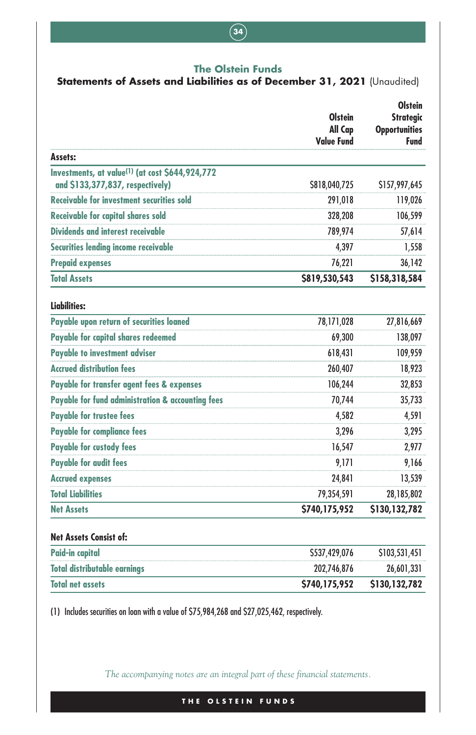

### **The Olstein Funds**

**Statements of Assets and Liabilities as of December 31, 2021** (Unaudited)

|                                                   | <b>Olstein</b><br>All Cap<br><b>Value Fund</b> | <b>Olstein</b><br><b>Strategic</b><br><b>Opportunities</b><br>Fund |
|---------------------------------------------------|------------------------------------------------|--------------------------------------------------------------------|
| Assets:                                           |                                                |                                                                    |
| Investments, at value(1) (at cost \$644,924,772   |                                                |                                                                    |
| and \$133,377,837, respectively)                  | \$818,040,725                                  | \$157,997,645                                                      |
| Receivable for investment securities sold         | 291,018                                        | 119,026                                                            |
| <b>Receivable for capital shares sold</b>         | 328,208                                        | 106,599                                                            |
| <b>Dividends and interest receivable</b>          | 789,974                                        | 57,614                                                             |
| <b>Securities lending income receivable</b>       | 4,397                                          | 1,558                                                              |
| <b>Prepaid expenses</b>                           | 76,221                                         | 36,142                                                             |
| <b>Total Assets</b>                               | \$819,530,543                                  | \$158,318,584                                                      |
| Liabilities:                                      |                                                |                                                                    |
| Payable upon return of securities loaned          | 78,171,028                                     | 27,816,669                                                         |
| <b>Payable for capital shares redeemed</b>        | 69,300                                         | 138,097                                                            |
| <b>Payable to investment adviser</b>              | 618,431                                        | 109,959                                                            |
| <b>Accrued distribution fees</b>                  | 260,407                                        | 18,923                                                             |
| Payable for transfer agent fees & expenses        | 106,244                                        | 32,853                                                             |
| Payable for fund administration & accounting fees | 70,744                                         | 35,733                                                             |
| <b>Payable for trustee fees</b>                   | 4,582                                          | 4,591                                                              |
| <b>Payable for compliance fees</b>                | 3,296                                          | 3,295                                                              |
| <b>Payable for custody fees</b>                   | 16,547                                         | 2,977                                                              |
| <b>Payable for audit fees</b>                     | 9,171                                          | 9,166                                                              |
| <b>Accrued expenses</b>                           | 24,841                                         | 13,539                                                             |
| <b>Total Liabilities</b>                          | 79,354,591                                     | 28,185,802                                                         |
| <b>Net Assets</b>                                 | \$740,175,952                                  | \$130,132,782                                                      |
| <b>Net Assets Consist of:</b>                     |                                                |                                                                    |
| Paid-in capital                                   | \$537,429,076                                  | \$103,531,451                                                      |
| <b>Total distributable earnings</b>               | 202,746,876                                    | 26,601,331                                                         |
| <b>Total net assets</b>                           | \$740,175,952                                  | \$130,132,782                                                      |

(1) Includes securities on loan with a value of \$75,984,268 and \$27,025,462, respectively.

*The accompanying notes are an integral part of these financial statements.*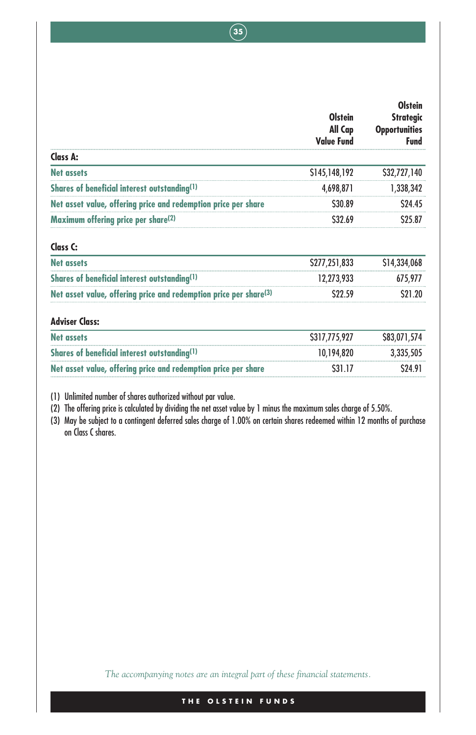|                                                                               | <b>Olstein</b><br>All Cap<br><b>Value Fund</b> | <b>Olstein</b><br><b>Strategic</b><br><b>Opportunities</b><br>Fund |
|-------------------------------------------------------------------------------|------------------------------------------------|--------------------------------------------------------------------|
| Class A:                                                                      |                                                |                                                                    |
| <b>Net assets</b>                                                             | \$145,148,192                                  | \$32,727,140                                                       |
| Shares of beneficial interest outstanding(1)                                  | 4,698,871                                      | 1,338,342                                                          |
| Net asset value, offering price and redemption price per share                | S30.89                                         | S24.45                                                             |
| Maximum offering price per share <sup>(2)</sup>                               | S32.69                                         | S <sub>25.87</sub>                                                 |
| Class C:                                                                      |                                                |                                                                    |
| <b>Net assets</b>                                                             | \$277,251,833                                  | \$14,334,068                                                       |
| Shares of beneficial interest outstanding(1)                                  | 12,273,933                                     | 675,977                                                            |
| Net asset value, offering price and redemption price per share <sup>(3)</sup> | S22.59                                         | \$21.20                                                            |
| <b>Adviser Class:</b>                                                         |                                                |                                                                    |
| <b>Net assets</b>                                                             | \$317,775,927                                  | \$83,071,574                                                       |
| Shares of beneficial interest outstanding(1)                                  | 10,194,820                                     | 3,335,505                                                          |

(1) Unlimited number of shares authorized without par value.

(2) The offering price is calculated by dividing the net asset value by 1 minus the maximum sales charge of 5.50%.

(3) May be subject to a contingent deferred sales charge of 1.00% on certain shares redeemed within 12 months of purchase on Class C shares.

**Net asset value, offering price and redemption price per share** \$31.17 \$24.91

*The accompanying notes are an integral part of these financial statements.*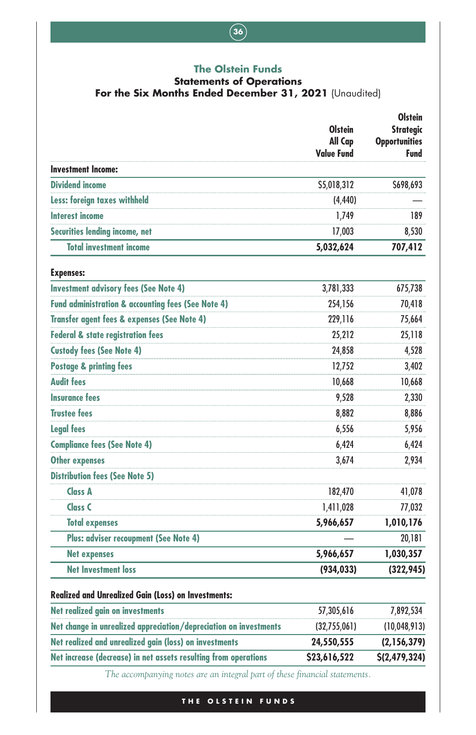

## **The Olstein Funds**

**Statements of Operations For the Six Months Ended December 31, 2021** (Unaudited)

|                                                                   | <b>Olstein</b><br>All Cap<br>Value Fund | <b>Olstein</b><br><b>Strategic</b><br><b>Opportunities</b><br>Fund |
|-------------------------------------------------------------------|-----------------------------------------|--------------------------------------------------------------------|
| <b>Investment Income:</b>                                         |                                         |                                                                    |
| <b>Dividend income</b>                                            | \$5,018,312                             | \$698,693                                                          |
| <b>Less: foreign taxes withheld</b>                               | (4, 440)                                |                                                                    |
| <b>Interest income</b>                                            | 1,749                                   | 189                                                                |
| <b>Securities lending income, net</b>                             | 17,003                                  | 8,530                                                              |
| <b>Total investment income</b>                                    | 5,032,624                               | 707,412                                                            |
| <b>Expenses:</b>                                                  |                                         |                                                                    |
| <b>Investment advisory fees (See Note 4)</b>                      | 3,781,333                               | 675,738                                                            |
| Fund administration & accounting fees (See Note 4)                | 254,156                                 | 70,418                                                             |
| Transfer agent fees & expenses (See Note 4)                       | 229,116                                 | 75,664                                                             |
| <b>Federal &amp; state registration fees</b>                      | 25,212                                  | 25,118                                                             |
| <b>Custody fees (See Note 4)</b>                                  | 24,858                                  | 4,528                                                              |
| <b>Postage &amp; printing fees</b>                                | 12,752                                  | 3,402                                                              |
| <b>Audit fees</b>                                                 | 10.668                                  | 10,668                                                             |
| <b>Insurance fees</b>                                             | 9,528                                   | 2,330                                                              |
| <b>Trustee fees</b>                                               | 8,882                                   | 8,886                                                              |
| <b>Legal fees</b>                                                 | 6,556                                   | 5,956                                                              |
| <b>Compliance fees (See Note 4)</b>                               | 6,424                                   | 6,424                                                              |
| <b>Other expenses</b>                                             | 3,674                                   | 2,934                                                              |
| <b>Distribution fees (See Note 5)</b>                             |                                         |                                                                    |
| <b>Class A</b>                                                    | 182,470                                 | 41,078                                                             |
| Class C                                                           | 1,411,028                               | 77,032                                                             |
| <b>Total expenses</b>                                             | 5,966,657                               | 1,010,176                                                          |
| Plus: adviser recoupment (See Note 4)                             |                                         | 20,181                                                             |
| <b>Net expenses</b>                                               | 5,966,657                               | 1,030,357                                                          |
| <b>Net Investment loss</b>                                        | (934, 033)                              | (322, 945)                                                         |
| <b>Realized and Unrealized Gain (Loss) on Investments:</b>        |                                         |                                                                    |
| <b>Net realized gain on investments</b>                           | 57,305,616                              | 7,892,534                                                          |
| Net change in unrealized appreciation/depreciation on investments | (32,755,061)                            | (10,048,913)                                                       |
| Net realized and unrealized gain (loss) on investments            | 24,550,555                              | (2, 156, 379)                                                      |

*The accompanying notes are an integral part of these financial statements.* **Net increase (decrease) in net assets resulting from operations \$23,616,522 \$(2,479,324)**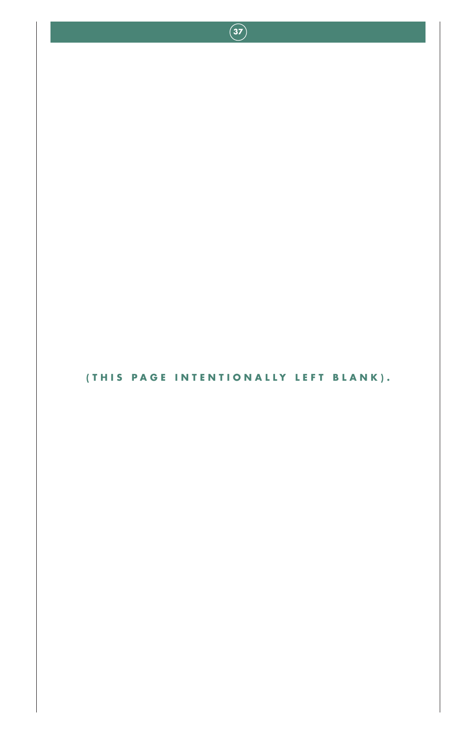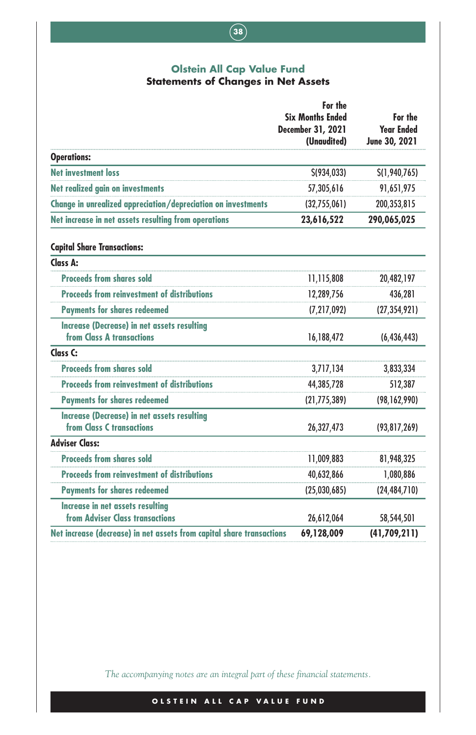

#### **Olstein All Cap Value Fund Statements of Changes in Net Assets**

|                                                                                   | For the<br><b>Six Months Ended</b><br><b>December 31, 2021</b><br>(Unaudited) | For the<br><b>Year Ended</b><br>June 30, 2021 |
|-----------------------------------------------------------------------------------|-------------------------------------------------------------------------------|-----------------------------------------------|
| <b>Operations:</b>                                                                |                                                                               |                                               |
| <b>Net investment loss</b>                                                        | \$(934,033)                                                                   | \$(1,940,765)                                 |
| Net realized gain on investments                                                  | 57,305,616                                                                    | 91,651,975                                    |
| Change in unrealized appreciation/depreciation on investments                     | (32,755,061)                                                                  | 200,353,815                                   |
| Net increase in net assets resulting from operations                              | 23,616,522                                                                    | 290,065,025                                   |
| <b>Capital Share Transactions:</b>                                                |                                                                               |                                               |
| Class A:                                                                          |                                                                               |                                               |
| <b>Proceeds from shares sold</b>                                                  | 11,115,808                                                                    | 20,482,197                                    |
| <b>Proceeds from reinvestment of distributions</b>                                | 12,289,756                                                                    | 436,281                                       |
| <b>Payments for shares redeemed</b>                                               | (7, 217, 092)                                                                 | (27, 354, 921)                                |
| Increase (Decrease) in net assets resulting<br>from Class A transactions          | 16,188,472                                                                    | (6, 436, 443)                                 |
| Class C:                                                                          |                                                                               |                                               |
| <b>Proceeds from shares sold</b>                                                  | 3,717,134                                                                     | 3,833,334                                     |
| <b>Proceeds from reinvestment of distributions</b>                                | 44,385,728                                                                    | 512,387                                       |
| <b>Payments for shares redeemed</b>                                               | (21, 775, 389)                                                                | (98, 162, 990)                                |
| Increase (Decrease) in net assets resulting<br>from Class C transactions          | 26,327,473                                                                    | (93, 817, 269)                                |
| <b>Adviser Class:</b>                                                             |                                                                               |                                               |
| <b>Proceeds from shares sold</b>                                                  | 11,009,883                                                                    | 81,948,325                                    |
| <b>Proceeds from reinvestment of distributions</b>                                | 40,632,866                                                                    | 1,080,886                                     |
| <b>Payments for shares redeemed</b>                                               | (25,030,685)                                                                  | (24, 484, 710)                                |
| <b>Increase in net assets resulting</b><br><b>from Adviser Class transactions</b> | 26,612,064                                                                    | 58,544,501                                    |
| Net increase (decrease) in net assets from capital share transactions             | 69,128,009                                                                    | (41, 709, 211)                                |

*The accompanying notes are an integral part of these financial statements.*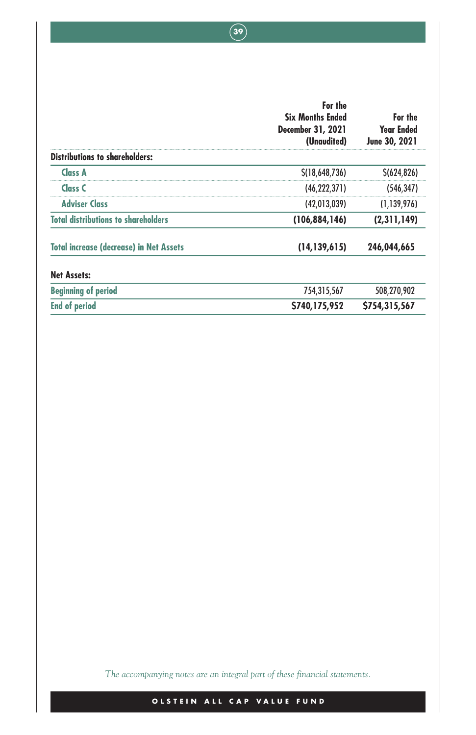|                                                | For the<br><b>Six Months Ended</b><br><b>December 31, 2021</b><br>(Unaudited) | For the<br><b>Year Ended</b><br>June 30, 2021 |
|------------------------------------------------|-------------------------------------------------------------------------------|-----------------------------------------------|
| <b>Distributions to shareholders:</b>          |                                                                               |                                               |
| Class A                                        | S(18,648,736)                                                                 | S(624, 826)                                   |
| Class C                                        | (46, 222, 371)                                                                | (546, 347)                                    |
| <b>Adviser Class</b>                           | (42,013,039)                                                                  | (1, 139, 976)                                 |
| <b>Total distributions to shareholders</b>     | (106, 884, 146)                                                               | (2,311,149)                                   |
| <b>Total increase (decrease) in Net Assets</b> | (14, 139, 615)                                                                | 246,044,665                                   |
| <b>Net Assets:</b>                             |                                                                               |                                               |
| <b>Beginning of period</b>                     | 754,315,567                                                                   | 508,270,902                                   |
| <b>End of period</b>                           | \$740,175,952                                                                 | \$754,315,567                                 |

*The accompanying notes are an integral part of these financial statements.*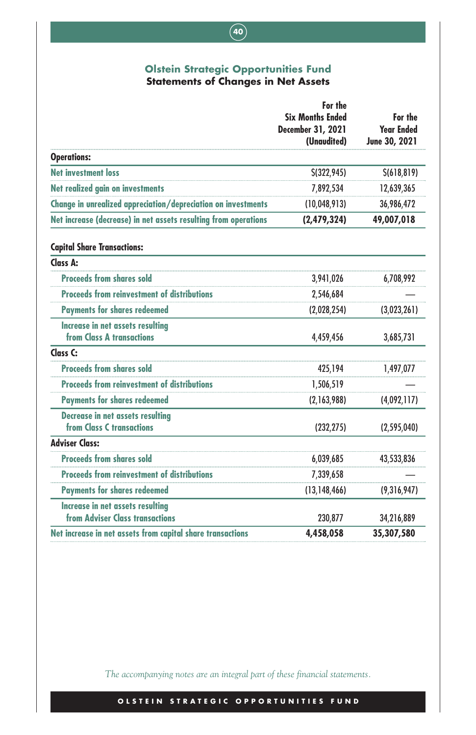#### **Olstein Strategic Opportunities Fund Statements of Changes in Net Assets**

|                                                                      | For the<br><b>Six Months Ended</b><br><b>December 31, 2021</b><br>(Unaudited) | For the<br><b>Year Ended</b><br>June 30, 2021 |
|----------------------------------------------------------------------|-------------------------------------------------------------------------------|-----------------------------------------------|
| <b>Operations:</b>                                                   |                                                                               |                                               |
| <b>Net investment loss</b>                                           | \$(322, 945)                                                                  | S(618, 819)                                   |
| Net realized gain on investments                                     | 7,892,534                                                                     | 12,639,365                                    |
| Change in unrealized appreciation/depreciation on investments        | (10,048,913)                                                                  | 36,986,472                                    |
| Net increase (decrease) in net assets resulting from operations      | (2, 479, 324)                                                                 | 49,007,018                                    |
| <b>Capital Share Transactions:</b>                                   |                                                                               |                                               |
| Class A:                                                             |                                                                               |                                               |
| <b>Proceeds from shares sold</b>                                     | 3,941,026                                                                     | 6,708,992                                     |
| <b>Proceeds from reinvestment of distributions</b>                   | 2,546,684                                                                     |                                               |
| <b>Payments for shares redeemed</b>                                  | (2,028,254)                                                                   | (3,023,261)                                   |
| Increase in net assets resulting<br>from Class A transactions        | 4,459,456                                                                     | 3,685,731                                     |
| Class C:                                                             |                                                                               |                                               |
| <b>Proceeds from shares sold</b>                                     | 425,194                                                                       | 1,497,077                                     |
| <b>Proceeds from reinvestment of distributions</b>                   | 1,506,519                                                                     |                                               |
| <b>Payments for shares redeemed</b>                                  | (2,163,988)                                                                   | (4,092,117)                                   |
| <b>Decrease in net assets resulting</b><br>from Class C transactions | (232, 275)                                                                    | (2,595,040)                                   |
| <b>Adviser Class:</b>                                                |                                                                               |                                               |
| <b>Proceeds from shares sold</b>                                     | 6,039,685                                                                     | 43,533,836                                    |
| <b>Proceeds from reinvestment of distributions</b>                   | 7,339,658                                                                     |                                               |
| <b>Payments for shares redeemed</b>                                  | (13, 148, 466)                                                                | (9,316,947)                                   |
| Increase in net assets resulting<br>from Adviser Class transactions  | 230,877                                                                       | 34,216,889                                    |
| Net increase in net assets from capital share transactions           | 4,458,058                                                                     | 35,307,580                                    |

*The accompanying notes are an integral part of these financial statements.*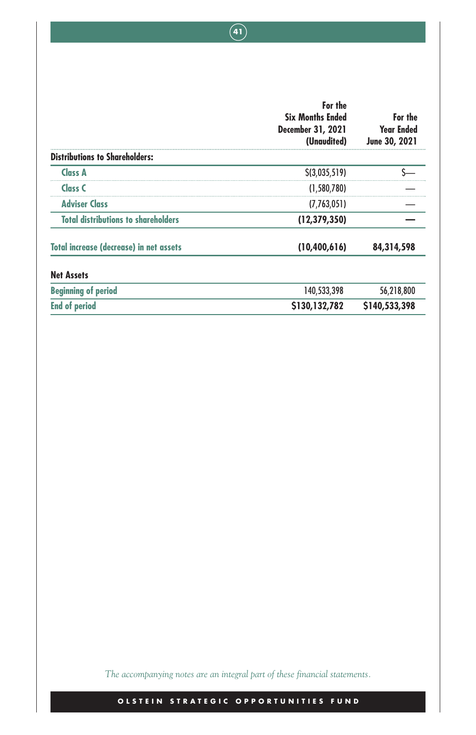|                                                | For the<br><b>Six Months Ended</b><br><b>December 31, 2021</b><br>(Unaudited) | For the<br><b>Year Ended</b><br>June 30, 2021 |
|------------------------------------------------|-------------------------------------------------------------------------------|-----------------------------------------------|
| <b>Distributions to Shareholders:</b>          |                                                                               |                                               |
| Class A                                        | S(3,035,519)                                                                  |                                               |
| Class C                                        | (1,580,780)                                                                   |                                               |
| <b>Adviser Class</b>                           | (7,763,051)                                                                   |                                               |
| <b>Total distributions to shareholders</b>     | (12, 379, 350)                                                                |                                               |
| <b>Total increase (decrease) in net assets</b> | (10,400,616)                                                                  | 84,314,598                                    |
| <b>Net Assets</b>                              |                                                                               |                                               |
| <b>Beginning of period</b>                     | 140,533,398                                                                   | 56,218,800                                    |
| <b>End of period</b>                           | \$130,132,782                                                                 | \$140,533,398                                 |

*The accompanying notes are an integral part of these financial statements.*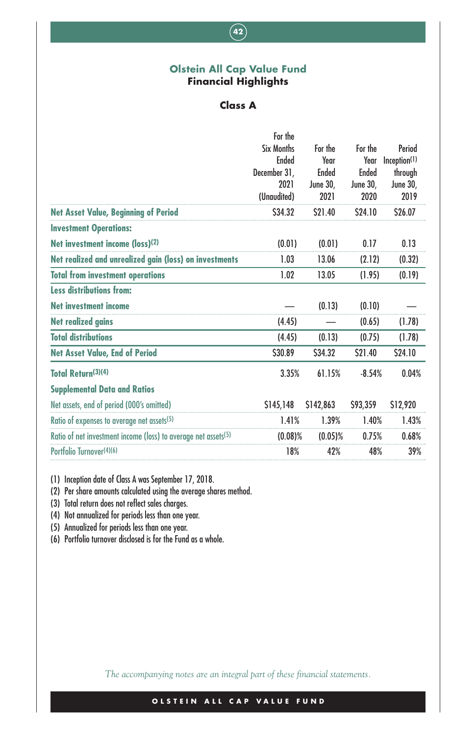#### **Olstein All Cap Value Fund Financial Highlights**

**42**

## **Class A**

|                                                                            | For the             |                    |                         |                          |
|----------------------------------------------------------------------------|---------------------|--------------------|-------------------------|--------------------------|
|                                                                            | <b>Six Months</b>   | For the            | For the                 | Period                   |
|                                                                            | <b>Ended</b>        | Year               | Year                    | Inception <sup>(1)</sup> |
|                                                                            | December 31,        | Ended              | Ended                   | through                  |
|                                                                            | 2021<br>(Unaudited) | June 30,<br>2021   | <b>June 30.</b><br>2020 | June 30,<br>2019         |
|                                                                            |                     |                    |                         |                          |
| <b>Net Asset Value, Beginning of Period</b>                                | S34.32              | S <sub>21.40</sub> | S <sub>24.10</sub>      | S <sub>26.07</sub>       |
| <b>Investment Operations:</b>                                              |                     |                    |                         |                          |
| Net investment income (loss) <sup>(2)</sup>                                | (0.01)              | (0.01)             | 0.17                    | 0.13                     |
| Net realized and unrealized gain (loss) on investments                     | 1.03                | 13.06              | (2.12)                  | (0.32)                   |
| <b>Total from investment operations</b>                                    | 1.02                | 13.05              | (1.95)                  | (0.19)                   |
| <b>Less distributions from:</b>                                            |                     |                    |                         |                          |
| <b>Net investment income</b>                                               |                     | (0.13)             | (0.10)                  |                          |
| <b>Net realized gains</b>                                                  | (4.45)              |                    | (0.65)                  | (1.78)                   |
| <b>Total distributions</b>                                                 | (4.45)              | (0.13)             | (0.75)                  | (1.78)                   |
| <b>Net Asset Value, End of Period</b>                                      | S30.89              | S34.32             | <b>S21.40</b>           | S24.10                   |
| Total Return(3)(4)                                                         | 3.35%               | 61.15%             | $-8.54%$                | 0.04%                    |
| <b>Supplemental Data and Ratios</b>                                        |                     |                    |                         |                          |
| Net assets, end of period (000's omitted)                                  | \$145,148           | \$142,863          | \$93,359                | \$12,920                 |
| Ratio of expenses to average net assets(5)                                 | 1.41%               | 1.39%              | 1.40%                   | 1.43%                    |
| Ratio of net investment income (loss) to average net assets <sup>(5)</sup> | $(0.08)\%$          | $(0.05)\%$         | 0.75%                   | 0.68%                    |
| Portfolio Turnover <sup>(4)(6)</sup>                                       | 18%                 | 42%                | 48%                     | 39%                      |

(1) Inception date of Class A was September 17, 2018.

(2) Per share amounts calculated using the average shares method.

(3) Total return does not reflect sales charges.

(4) Not annualized for periods less than one year.

(5) Annualized for periods less than one year.

(6) Portfolio turnover disclosed is for the Fund as a whole.

*The accompanying notes are an integral part of these financial statements.*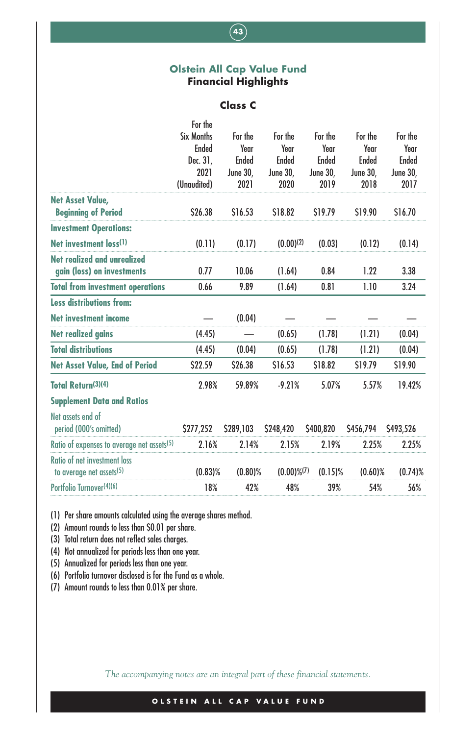#### **Olstein All Cap Value Fund Financial Highlights**

**43**

## **Class C**

|                                                                      | For the<br><b>Six Months</b><br><b>Ended</b><br>Dec. 31,<br>2021<br>(Unaudited) | For the<br>Year<br><b>Ended</b><br>June 30,<br>2021 | For the<br>Year<br><b>Ended</b><br>June 30,<br>2020 | For the<br>Year<br><b>Ended</b><br>June 30,<br>2019 | For the<br>Year<br><b>Ended</b><br><b>June 30,</b><br>2018 | For the<br>Year<br><b>Ended</b><br><b>June 30,</b><br>2017 |
|----------------------------------------------------------------------|---------------------------------------------------------------------------------|-----------------------------------------------------|-----------------------------------------------------|-----------------------------------------------------|------------------------------------------------------------|------------------------------------------------------------|
| <b>Net Asset Value,</b>                                              |                                                                                 |                                                     |                                                     |                                                     |                                                            |                                                            |
| <b>Beginning of Period</b>                                           | S26.38                                                                          | \$16.53                                             | S18.82                                              | S19.79                                              | S19.90                                                     | \$16.70                                                    |
| <b>Investment Operations:</b>                                        |                                                                                 |                                                     |                                                     |                                                     |                                                            |                                                            |
| Net investment loss <sup>(1)</sup>                                   | (0.11)                                                                          | (0.17)                                              | (0.00)(2)                                           | (0.03)                                              | (0.12)                                                     | (0.14)                                                     |
| Net realized and unrealized<br>gain (loss) on investments            | 0.77                                                                            | 10.06                                               | (1.64)                                              | 0.84                                                | 1.22                                                       | 3.38                                                       |
| <b>Total from investment operations</b>                              | 0.66                                                                            | 9.89                                                | (1.64)                                              | 0.81                                                | 1.10                                                       | 3.24                                                       |
| <b>Less distributions from:</b>                                      |                                                                                 |                                                     |                                                     |                                                     |                                                            |                                                            |
| <b>Net investment income</b>                                         |                                                                                 | (0.04)                                              |                                                     |                                                     |                                                            |                                                            |
| <b>Net realized gains</b>                                            | (4.45)                                                                          |                                                     | (0.65)                                              | (1.78)                                              | (1.21)                                                     | (0.04)                                                     |
| <b>Total distributions</b>                                           | (4.45)                                                                          | (0.04)                                              | (0.65)                                              | (1.78)                                              | (1.21)                                                     | (0.04)                                                     |
| <b>Net Asset Value, End of Period</b>                                | S22.59                                                                          | S26.38                                              | S16.53                                              | \$18.82                                             | S19.79                                                     | \$19.90                                                    |
| Total Return(3)(4)                                                   | 2.98%                                                                           | 59.89%                                              | $-9.21%$                                            | 5.07%                                               | 5.57%                                                      | 19.42%                                                     |
| <b>Supplement Data and Ratios</b>                                    |                                                                                 |                                                     |                                                     |                                                     |                                                            |                                                            |
| Net assets end of<br>period (000's omitted)                          | \$277,252                                                                       | \$289,103                                           | \$248,420                                           | \$400,820                                           | \$456,794                                                  | \$493,526                                                  |
| Ratio of expenses to average net assets(5)                           | 2.16%                                                                           | 2.14%                                               | 2.15%                                               | 2.19%                                               | 2.25%                                                      | 2.25%                                                      |
| Ratio of net investment loss<br>to average net assets <sup>(5)</sup> | $(0.83)\%$                                                                      | $(0.80)\%$                                          | $(0.00) \%$ <sup>(7)</sup>                          | $(0.15)\%$                                          | $(0.60)\%$                                                 | $(0.74)$ %                                                 |
| Portfolio Turnover <sup>(4)(6)</sup>                                 | 18%                                                                             | 42%                                                 | 48%                                                 | 39%                                                 | 54%                                                        | 56%                                                        |

(1) Per share amounts calculated using the average shares method.

(2) Amount rounds to less than \$0.01 per share.

(3) Total return does not reflect sales charges.

(4) Not annualized for periods less than one year.

(5) Annualized for periods less than one year.

(6) Portfolio turnover disclosed is for the Fund as a whole.

(7) Amount rounds to less than 0.01% per share.

*The accompanying notes are an integral part of these financial statements.*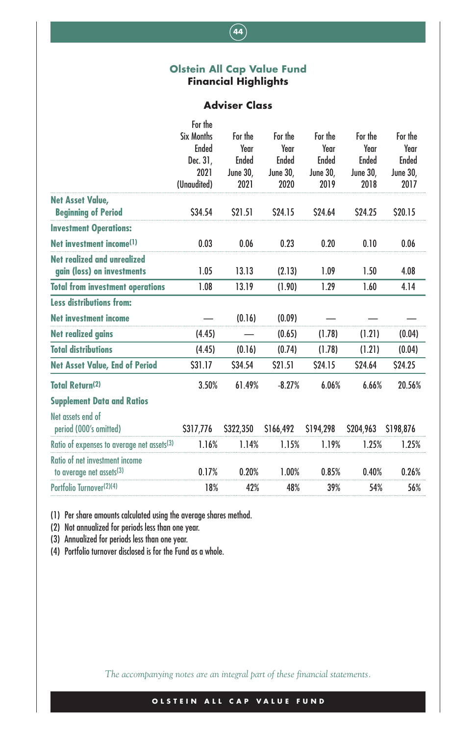### **Olstein All Cap Value Fund Financial Highlights**

**44**

## **Adviser Class**

|                                                               | For the<br><b>Six Months</b><br><b>Ended</b><br>Dec. 31,<br>2021<br>(Unaudited) | For the<br>Year<br>Ended<br>June 30,<br>2021 | For the<br>Year<br>Ended<br><b>June 30,</b><br>2020 | For the<br>Year<br>Ended<br>June 30,<br>2019 | For the<br>Year<br><b>Ended</b><br>June 30,<br>2018 | For the<br>Year<br><b>Ended</b><br>June 30,<br>2017 |
|---------------------------------------------------------------|---------------------------------------------------------------------------------|----------------------------------------------|-----------------------------------------------------|----------------------------------------------|-----------------------------------------------------|-----------------------------------------------------|
| <b>Net Asset Value,</b><br><b>Beginning of Period</b>         | \$34.54                                                                         | \$21.51                                      | <b>S24.15</b>                                       | \$24.64                                      | <b>S24.25</b>                                       | S20.15                                              |
| <b>Investment Operations:</b>                                 |                                                                                 |                                              |                                                     |                                              |                                                     |                                                     |
| Net investment income <sup>(1)</sup>                          | 0.03                                                                            | 0.06                                         | 0.23                                                | 0.20                                         | 0.10                                                | 0.06                                                |
| Net realized and unrealized<br>gain (loss) on investments     | 1.05                                                                            | 13.13                                        | (2.13)                                              | 1.09                                         | 1.50                                                | 4.08                                                |
| <b>Total from investment operations</b>                       | 1.08                                                                            | 13.19                                        | (1.90)                                              | 1.29                                         | 1.60                                                | 4.14                                                |
| <b>Less distributions from:</b>                               |                                                                                 |                                              |                                                     |                                              |                                                     |                                                     |
| <b>Net investment income</b>                                  |                                                                                 | (0.16)                                       | (0.09)                                              |                                              |                                                     |                                                     |
| <b>Net realized gains</b>                                     | (4.45)                                                                          |                                              | (0.65)                                              | (1.78)                                       | (1.21)                                              | (0.04)                                              |
| <b>Total distributions</b>                                    | (4.45)                                                                          | (0.16)                                       | (0.74)                                              | (1.78)                                       | (1.21)                                              | (0.04)                                              |
| <b>Net Asset Value, End of Period</b>                         | \$31.17                                                                         | \$34.54                                      | \$21.51                                             | S24.15                                       | S24.64                                              | <b>S24.25</b>                                       |
| <b>Total Return(2)</b>                                        | 3.50%                                                                           | 61.49%                                       | $-8.27%$                                            | 6.06%                                        | 6.66%                                               | 20.56%                                              |
| <b>Supplement Data and Ratios</b>                             |                                                                                 |                                              |                                                     |                                              |                                                     |                                                     |
| Net assets end of<br>period (000's omitted)                   | \$317,776                                                                       | \$322,350                                    | \$166,492                                           | \$194,298                                    | \$204,963                                           | \$198,876                                           |
| Ratio of expenses to average net assets(3)                    | 1.16%                                                                           | 1.14%                                        | 1.15%                                               | 1.19%                                        | 1.25%                                               | 1.25%                                               |
| Ratio of net investment income<br>to average net assets $(3)$ | 0.17%                                                                           | 0.20%                                        | 1.00%                                               | 0.85%                                        | 0.40%                                               | 0.26%                                               |
| Portfolio Turnover <sup>(2)(4)</sup>                          | 18%                                                                             | 42%                                          | 48%                                                 | 39%                                          | 54%                                                 | 56%                                                 |

(1) Per share amounts calculated using the average shares method.

(2) Not annualized for periods less than one year.

(3) Annualized for periods less than one year.

(4) Portfolio turnover disclosed is for the Fund as a whole.

*The accompanying notes are an integral part of these financial statements.*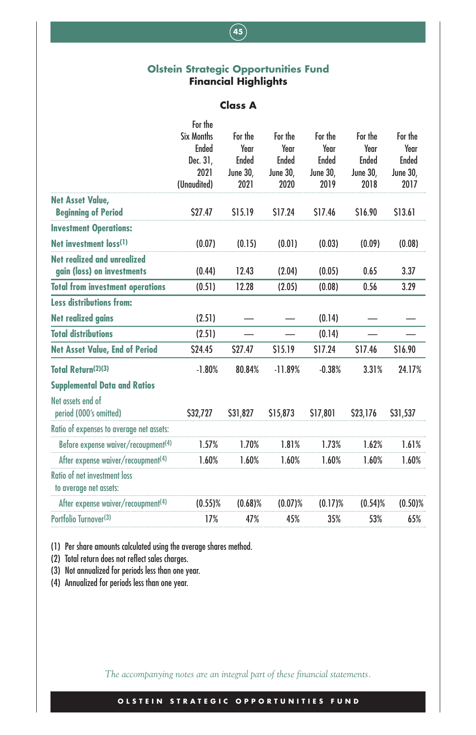## **Olstein Strategic Opportunities Fund Financial Highlights**

**45**

## **Class A**

|                                                        | For the           |                          |                          |                          |                          |                          |
|--------------------------------------------------------|-------------------|--------------------------|--------------------------|--------------------------|--------------------------|--------------------------|
|                                                        | <b>Six Months</b> | For the                  | For the                  | For the                  | For the                  | For the                  |
|                                                        | <b>Ended</b>      | Year                     | Year                     | Year                     | Year                     | Year                     |
|                                                        | Dec. 31,<br>2021  | <b>Ended</b><br>June 30, | <b>Ended</b><br>June 30, | <b>Ended</b><br>June 30, | <b>Ended</b><br>June 30, | <b>Ended</b><br>June 30, |
|                                                        | (Unaudited)       | 2021                     | 2020                     | 2019                     | 2018                     | 2017                     |
| <b>Net Asset Value,</b>                                |                   |                          |                          |                          |                          |                          |
| <b>Beginning of Period</b>                             | <b>S27.47</b>     | \$15.19                  | \$17.24                  | S17.46                   | S16.90                   | \$13.61                  |
| <b>Investment Operations:</b>                          |                   |                          |                          |                          |                          |                          |
| Net investment loss <sup>(1)</sup>                     | (0.07)            | (0.15)                   | (0.01)                   | (0.03)                   | (0.09)                   | (0.08)                   |
| Net realized and unrealized                            |                   |                          |                          |                          |                          |                          |
| gain (loss) on investments                             | (0.44)            | 12.43                    | (2.04)                   | (0.05)                   | 0.65                     | 3.37                     |
| <b>Total from investment operations</b>                | (0.51)            | 12.28                    | (2.05)                   | (0.08)                   | 0.56                     | 3.29                     |
| <b>Less distributions from:</b>                        |                   |                          |                          |                          |                          |                          |
| <b>Net realized gains</b>                              | (2.51)            |                          |                          | (0.14)                   |                          |                          |
| <b>Total distributions</b>                             | (2.51)            |                          |                          | (0.14)                   |                          |                          |
| <b>Net Asset Value, End of Period</b>                  | <b>S24.45</b>     | <b>S27.47</b>            | S15.19                   | S17.24                   | S17.46                   | S16.90                   |
| <b>Total Return(2)(3)</b>                              | $-1.80%$          | 80.84%                   | $-11.89%$                | $-0.38%$                 | 3.31%                    | 24.17%                   |
| <b>Supplemental Data and Ratios</b>                    |                   |                          |                          |                          |                          |                          |
| Net assets end of                                      |                   |                          |                          |                          |                          |                          |
| period (000's omitted)                                 | \$32,727          | \$31,827                 | \$15,873                 | \$17,801                 | \$23,176                 | \$31,537                 |
| Ratio of expenses to average net assets:               |                   |                          |                          |                          |                          |                          |
| Before expense waiver/recoupment <sup>(4)</sup>        | 1.57%             | 1.70%                    | 1.81%                    | 1.73%                    | 1.62%                    | 1.61%                    |
| After expense waiver/recoupment <sup>(4)</sup>         | 1.60%             | 1.60%                    | 1.60%                    | 1.60%                    | 1.60%                    | 1.60%                    |
| Ratio of net investment loss<br>to average net assets: |                   |                          |                          |                          |                          |                          |
| After expense waiver/recoupment <sup>(4)</sup>         | $(0.55)$ %        | $(0.68)\%$               | $(0.07)\%$               | $(0.17)\%$               | $(0.54)$ %               | $(0.50)\%$               |
| Portfolio Turnover <sup>(3)</sup>                      | 17%               | 47%                      | 45%                      | 35%                      | 53%                      | 65%                      |

(1) Per share amounts calculated using the average shares method.

(2) Total return does not reflect sales charges.

(3) Not annualized for periods less than one year.

(4) Annualized for periods less than one year.

*The accompanying notes are an integral part of these financial statements.*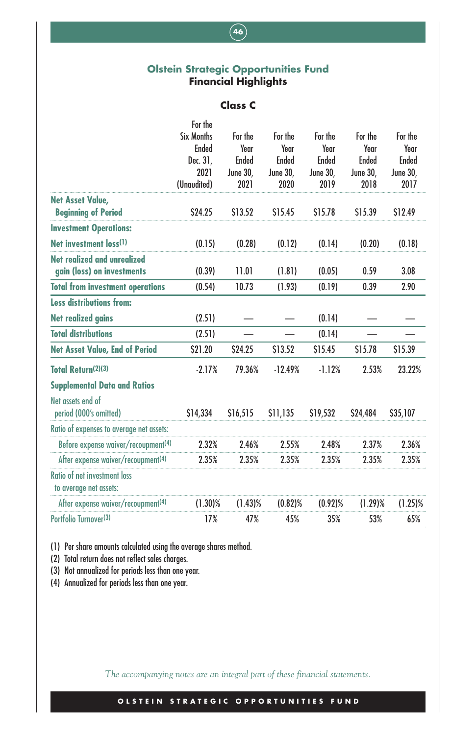## **Olstein Strategic Opportunities Fund Financial Highlights**

**46**

### **Class C**

|                                                           | For the                           |                                  |                                         |                           |                                  |                                  |
|-----------------------------------------------------------|-----------------------------------|----------------------------------|-----------------------------------------|---------------------------|----------------------------------|----------------------------------|
|                                                           | <b>Six Months</b><br><b>Ended</b> | For the<br>Year                  | For the<br>Year                         | For the<br>Year           | For the<br>Year                  | For the<br>Year                  |
|                                                           | Dec. 31,<br>2021<br>(Unaudited)   | <b>Ended</b><br>June 30,<br>2021 | <b>Ended</b><br><b>June 30,</b><br>2020 | Ended<br>June 30,<br>2019 | <b>Ended</b><br>June 30,<br>2018 | <b>Ended</b><br>June 30,<br>2017 |
| <b>Net Asset Value,</b><br><b>Beginning of Period</b>     | S24.25                            | S13.52                           | S15.45                                  | S15.78                    | \$15.39                          | \$12.49                          |
| <b>Investment Operations:</b>                             |                                   |                                  |                                         |                           |                                  |                                  |
| Net investment loss(1)                                    | (0.15)                            | (0.28)                           | (0.12)                                  | (0.14)                    | (0.20)                           | (0.18)                           |
| Net realized and unrealized<br>gain (loss) on investments | (0.39)                            | 11.01                            | (1.81)                                  | (0.05)                    | 0.59                             | 3.08                             |
| <b>Total from investment operations</b>                   | (0.54)                            | 10.73                            | (1.93)                                  | (0.19)                    | 0.39                             | 2.90                             |
| <b>Less distributions from:</b>                           |                                   |                                  |                                         |                           |                                  |                                  |
| <b>Net realized gains</b>                                 | (2.51)                            |                                  |                                         | (0.14)                    |                                  |                                  |
| <b>Total distributions</b>                                | (2.51)                            |                                  |                                         | (0.14)                    |                                  |                                  |
| <b>Net Asset Value, End of Period</b>                     | <b>S21.20</b>                     | <b>S24.25</b>                    | S13.52                                  | S15.45                    | S15.78                           | \$15.39                          |
| <b>Total Return(2)(3)</b>                                 | $-2.17%$                          | 79.36%                           | $-12.49%$                               | $-1.12%$                  | 2.53%                            | 23.22%                           |
| <b>Supplemental Data and Ratios</b>                       |                                   |                                  |                                         |                           |                                  |                                  |
| Net assets end of<br>period (000's omitted)               | \$14,334                          | \$16,515                         | \$11,135                                | \$19,532                  | \$24,484                         | \$35,107                         |
| Ratio of expenses to average net assets:                  |                                   |                                  |                                         |                           |                                  |                                  |
| Before expense waiver/recoupment <sup>(4)</sup>           | 2.32%                             | 2.46%                            | 2.55%                                   | 2.48%                     | 2.37%                            | 2.36%                            |
| After expense waiver/recoupment <sup>(4)</sup>            | 2.35%                             | 2.35%                            | 2.35%                                   | 2.35%                     | 2.35%                            | 2.35%                            |
| Ratio of net investment loss<br>to average net assets:    |                                   |                                  |                                         |                           |                                  |                                  |
| After expense waiver/recoupment <sup>(4)</sup>            | $(1.30)\%$                        | $(1.43)\%$                       | $(0.82)\%$                              | $(0.92)\%$                | $(1.29)\%$                       | $(1.25)\%$                       |
| Portfolio Turnover <sup>(3)</sup>                         | 17%                               | 47%                              | 45%                                     | 35%                       | 53%                              | 65%                              |

(1) Per share amounts calculated using the average shares method.

(2) Total return does not reflect sales charges.

(3) Not annualized for periods less than one year.

(4) Annualized for periods less than one year.

*The accompanying notes are an integral part of these financial statements.*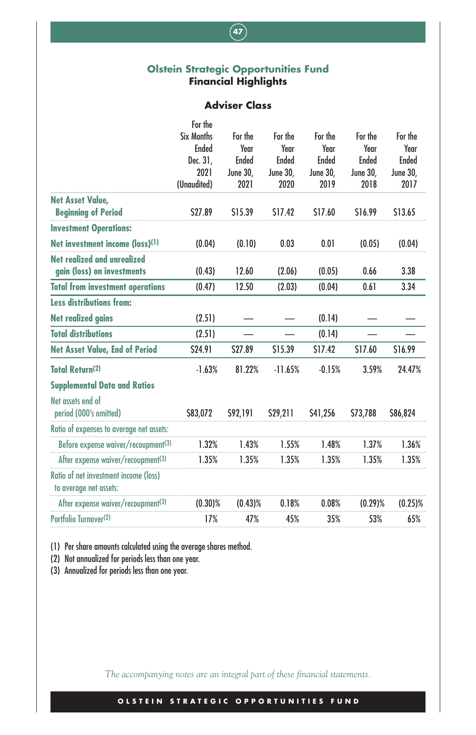#### **Olstein Strategic Opportunities Fund Financial Highlights**

**47**

## **Adviser Class**

|                                                                 | For the                                       |                                 |                                 |                                 |                                 |                                 |
|-----------------------------------------------------------------|-----------------------------------------------|---------------------------------|---------------------------------|---------------------------------|---------------------------------|---------------------------------|
|                                                                 | <b>Six Months</b><br><b>Ended</b><br>Dec. 31, | For the<br>Year<br><b>Ended</b> | For the<br>Year<br><b>Ended</b> | For the<br>Year<br><b>Ended</b> | For the<br>Year<br><b>Ended</b> | For the<br>Year<br><b>Ended</b> |
|                                                                 | 2021<br>(Unaudited)                           | <b>June 30,</b><br>2021         | June 30,<br>2020                | June 30,<br>2019                | <b>June 30,</b><br>2018         | June 30,<br>2017                |
| <b>Net Asset Value,</b><br><b>Beginning of Period</b>           | S27.89                                        | \$15.39                         | S17.42                          | \$17.60                         | S16.99                          | S13.65                          |
| <b>Investment Operations:</b>                                   |                                               |                                 |                                 |                                 |                                 |                                 |
| Net investment income (loss)(1)                                 | (0.04)                                        | (0.10)                          | 0.03                            | 0.01                            | (0.05)                          | (0.04)                          |
| Net realized and unrealized<br>gain (loss) on investments       | (0.43)                                        | 12.60                           | (2.06)                          | (0.05)                          | 0.66                            | 3.38                            |
| <b>Total from investment operations</b>                         | (0.47)                                        | 12.50                           | (2.03)                          | (0.04)                          | 0.61                            | 3.34                            |
| <b>Less distributions from:</b>                                 |                                               |                                 |                                 |                                 |                                 |                                 |
| <b>Net realized gains</b>                                       | (2.51)                                        |                                 |                                 | (0.14)                          |                                 |                                 |
| <b>Total distributions</b>                                      | (2.51)                                        |                                 |                                 | (0.14)                          |                                 |                                 |
| <b>Net Asset Value, End of Period</b>                           | \$24.91                                       | S27.89                          | \$15.39                         | \$17.42                         | \$17.60                         | S16.99                          |
| <b>Total Return(2)</b>                                          | $-1.63%$                                      | 81.22%                          | $-11.65%$                       | $-0.15%$                        | 3.59%                           | 24.47%                          |
| <b>Supplemental Data and Ratios</b>                             |                                               |                                 |                                 |                                 |                                 |                                 |
| Net assets end of<br>period (000's omitted)                     | \$83,072                                      | \$92,191                        | \$29,211                        | \$41,256                        | \$73,788                        | \$86,824                        |
| Ratio of expenses to average net assets:                        |                                               |                                 |                                 |                                 |                                 |                                 |
| Before expense waiver/recoupment <sup>(3)</sup>                 | 1.32%                                         | 1.43%                           | 1.55%                           | 1.48%                           | 1.37%                           | 1.36%                           |
| After expense waiver/recoupment <sup>(3)</sup>                  | 1.35%                                         | 1.35%                           | 1.35%                           | 1.35%                           | 1.35%                           | 1.35%                           |
| Ratio of net investment income (loss)<br>to average net assets: |                                               |                                 |                                 |                                 |                                 |                                 |
| After expense waiver/recoupment(3)                              | $(0.30)\%$                                    | $(0.43)\%$                      | 0.18%                           | 0.08%                           | $(0.29)\%$                      | $(0.25)\%$                      |
| Portfolio Turnover <sup>(2)</sup>                               | 17%                                           | 47%                             | 45%                             | 35%                             | 53%                             | 65%                             |

(1) Per share amounts calculated using the average shares method.

(2) Not annualized for periods less than one year.

(3) Annualized for periods less than one year.

*The accompanying notes are an integral part of these financial statements.*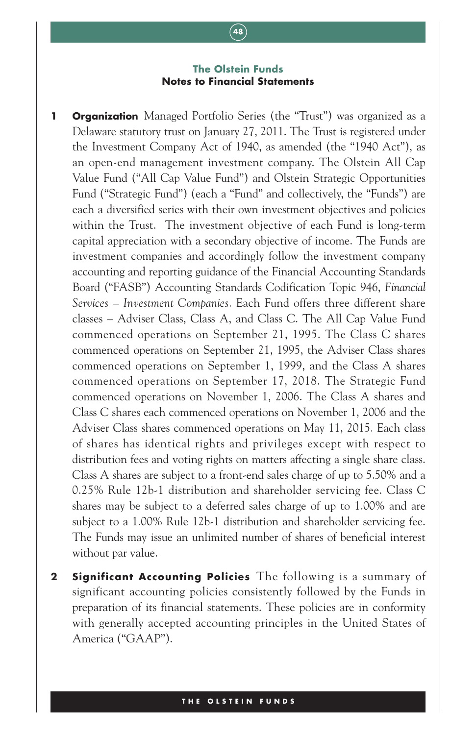#### **The Olstein Funds Notes to Financial Statements**

**48**

- **<sup>1</sup> Organization** Managed Portfolio Series (the "Trust") was organized as a Delaware statutory trust on January 27, 2011. The Trust is registered under the Investment Company Act of 1940, as amended (the "1940 Act"), as an open-end management investment company. The Olstein All Cap Value Fund ("All Cap Value Fund") and Olstein Strategic Opportunities Fund ("Strategic Fund") (each a "Fund" and collectively, the "Funds") are each a diversified series with their own investment objectives and policies within the Trust. The investment objective of each Fund is long-term capital appreciation with a secondary objective of income. The Funds are investment companies and accordingly follow the investment company accounting and reporting guidance of the Financial Accounting Standards Board ("FASB") Accounting Standards Codification Topic 946, *Financial Services – Investment Companies*. Each Fund offers three different share classes – Adviser Class, Class A, and Class C. The All Cap Value Fund commenced operations on September 21, 1995. The Class C shares commenced operations on September 21, 1995, the Adviser Class shares commenced operations on September 1, 1999, and the Class A shares commenced operations on September 17, 2018. The Strategic Fund commenced operations on November 1, 2006. The Class A shares and Class C shares each commenced operations on November 1, 2006 and the Adviser Class shares commenced operations on May 11, 2015. Each class of shares has identical rights and privileges except with respect to distribution fees and voting rights on matters affecting a single share class. Class A shares are subject to a front-end sales charge of up to 5.50% and a 0.25% Rule 12b-1 distribution and shareholder servicing fee. Class C shares may be subject to a deferred sales charge of up to 1.00% and are subject to a 1.00% Rule 12b-1 distribution and shareholder servicing fee. The Funds may issue an unlimited number of shares of beneficial interest without par value.
- **<sup>2</sup> Significant Accounting Policies** The following is a summary of significant accounting policies consistently followed by the Funds in preparation of its financial statements. These policies are in conformity with generally accepted accounting principles in the United States of America ("GAAP").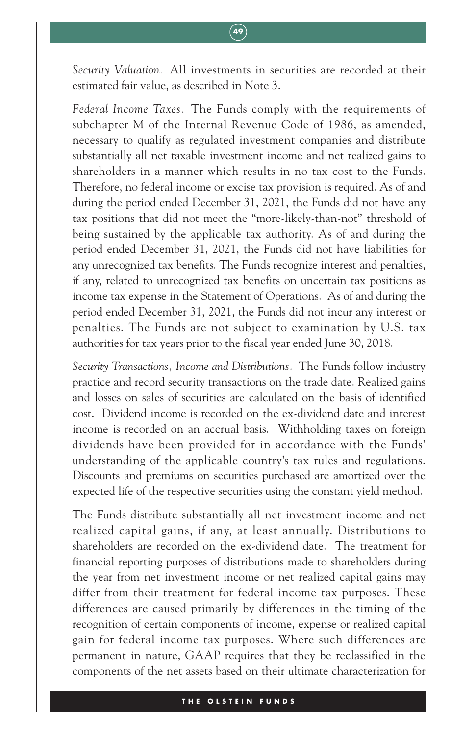

estimated fair value, as described in Note 3.

*Federal Income Taxes.* The Funds comply with the requirements of subchapter M of the Internal Revenue Code of 1986, as amended, necessary to qualify as regulated investment companies and distribute substantially all net taxable investment income and net realized gains to shareholders in a manner which results in no tax cost to the Funds. Therefore, no federal income or excise tax provision is required. As of and during the period ended December 31, 2021, the Funds did not have any tax positions that did not meet the "more-likely-than-not" threshold of being sustained by the applicable tax authority. As of and during the period ended December 31, 2021, the Funds did not have liabilities for any unrecognized tax benefits. The Funds recognize interest and penalties, if any, related to unrecognized tax benefits on uncertain tax positions as income tax expense in the Statement of Operations. As of and during the period ended December 31, 2021, the Funds did not incur any interest or penalties. The Funds are not subject to examination by U.S. tax authorities for tax years prior to the fiscal year ended June 30, 2018.

*Security Transactions, Income and Distributions.* The Funds follow industry practice and record security transactions on the trade date. Realized gains and losses on sales of securities are calculated on the basis of identified cost. Dividend income is recorded on the ex-dividend date and interest income is recorded on an accrual basis. Withholding taxes on foreign dividends have been provided for in accordance with the Funds' understanding of the applicable country's tax rules and regulations. Discounts and premiums on securities purchased are amortized over the expected life of the respective securities using the constant yield method.

The Funds distribute substantially all net investment income and net realized capital gains, if any, at least annually. Distributions to shareholders are recorded on the ex-dividend date. The treatment for financial reporting purposes of distributions made to shareholders during the year from net investment income or net realized capital gains may differ from their treatment for federal income tax purposes. These differences are caused primarily by differences in the timing of the recognition of certain components of income, expense or realized capital gain for federal income tax purposes. Where such differences are permanent in nature, GAAP requires that they be reclassified in the components of the net assets based on their ultimate characterization for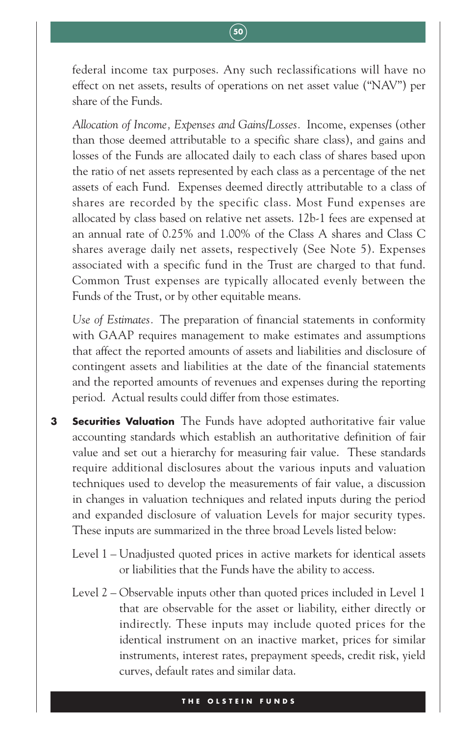federal income tax purposes. Any such reclassifications will have no effect on net assets, results of operations on net asset value ("NAV") per share of the Funds.

**50**

*Allocation of Income, Expenses and Gains/Losses.* Income, expenses (other than those deemed attributable to a specific share class), and gains and losses of the Funds are allocated daily to each class of shares based upon the ratio of net assets represented by each class as a percentage of the net assets of each Fund. Expenses deemed directly attributable to a class of shares are recorded by the specific class. Most Fund expenses are allocated by class based on relative net assets. 12b-1 fees are expensed at an annual rate of 0.25% and 1.00% of the Class A shares and Class C shares average daily net assets, respectively (See Note 5). Expenses associated with a specific fund in the Trust are charged to that fund. Common Trust expenses are typically allocated evenly between the Funds of the Trust, or by other equitable means.

*Use of Estimates.* The preparation of financial statements in conformity with GAAP requires management to make estimates and assumptions that affect the reported amounts of assets and liabilities and disclosure of contingent assets and liabilities at the date of the financial statements and the reported amounts of revenues and expenses during the reporting period. Actual results could differ from those estimates.

- **<sup>3</sup> Securities Valuation** The Funds have adopted authoritative fair value accounting standards which establish an authoritative definition of fair value and set out a hierarchy for measuring fair value. These standards require additional disclosures about the various inputs and valuation techniques used to develop the measurements of fair value, a discussion in changes in valuation techniques and related inputs during the period and expanded disclosure of valuation Levels for major security types. These inputs are summarized in the three broad Levels listed below:
	- Level 1 Unadjusted quoted prices in active markets for identical assets or liabilities that the Funds have the ability to access.
	- Level 2 Observable inputs other than quoted prices included in Level 1 that are observable for the asset or liability, either directly or indirectly. These inputs may include quoted prices for the identical instrument on an inactive market, prices for similar instruments, interest rates, prepayment speeds, credit risk, yield curves, default rates and similar data.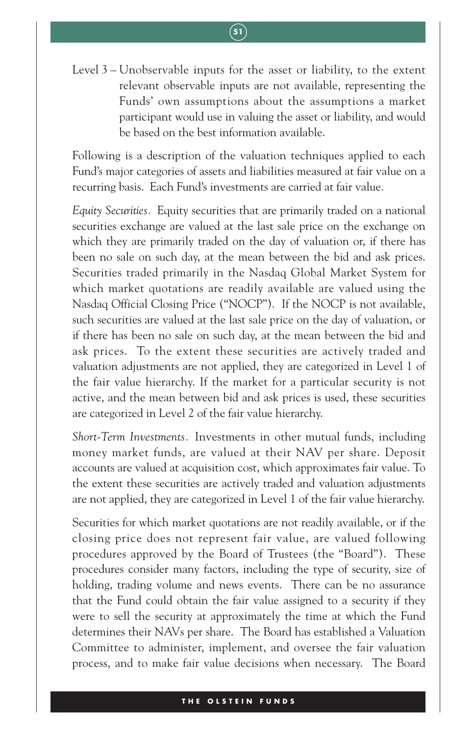

Level 3 – Unobservable inputs for the asset or liability, to the extent relevant observable inputs are not available, representing the Funds' own assumptions about the assumptions a market participant would use in valuing the asset or liability, and would be based on the best information available.

Following is a description of the valuation techniques applied to each Fund's major categories of assets and liabilities measured at fair value on a recurring basis. Each Fund's investments are carried at fair value.

*Equity Securities.* Equity securities that are primarily traded on a national securities exchange are valued at the last sale price on the exchange on which they are primarily traded on the day of valuation or, if there has been no sale on such day, at the mean between the bid and ask prices. Securities traded primarily in the Nasdaq Global Market System for which market quotations are readily available are valued using the Nasdaq Official Closing Price ("NOCP"). If the NOCP is not available, such securities are valued at the last sale price on the day of valuation, or if there has been no sale on such day, at the mean between the bid and ask prices. To the extent these securities are actively traded and valuation adjustments are not applied, they are categorized in Level 1 of the fair value hierarchy. If the market for a particular security is not active, and the mean between bid and ask prices is used, these securities are categorized in Level 2 of the fair value hierarchy.

*Short-Term Investments.* Investments in other mutual funds, including money market funds, are valued at their NAV per share. Deposit accounts are valued at acquisition cost, which approximates fair value. To the extent these securities are actively traded and valuation adjustments are not applied, they are categorized in Level 1 of the fair value hierarchy.

Securities for which market quotations are not readily available, or if the closing price does not represent fair value, are valued following procedures approved by the Board of Trustees (the "Board"). These procedures consider many factors, including the type of security, size of holding, trading volume and news events. There can be no assurance that the Fund could obtain the fair value assigned to a security if they were to sell the security at approximately the time at which the Fund determines their NAVs per share. The Board has established a Valuation Committee to administer, implement, and oversee the fair valuation process, and to make fair value decisions when necessary. The Board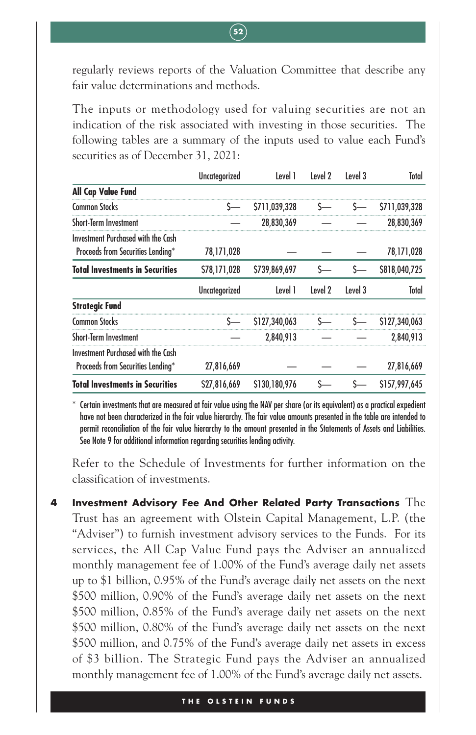regularly reviews reports of the Valuation Committee that describe any fair value determinations and methods.

**52**

The inputs or methodology used for valuing securities are not an indication of the risk associated with investing in those securities. The following tables are a summary of the inputs used to value each Fund's securities as of December 31, 2021:

|                                                                         | Uncategorized | Level 1       | Level 2 | Level 3 | Total         |
|-------------------------------------------------------------------------|---------------|---------------|---------|---------|---------------|
| <b>All Cap Value Fund</b>                                               |               |               |         |         |               |
| <b>Common Stocks</b>                                                    |               | \$711,039,328 |         |         | \$711,039,328 |
| <b>Short-Term Investment</b>                                            |               | 28,830,369    |         |         | 28,830,369    |
| Investment Purchased with the Cash<br>Proceeds from Securities Lending* | 78,171,028    |               |         |         | 78,171,028    |
| <b>Total Investments in Securities</b>                                  | \$78,171,028  | \$739,869,697 |         |         | \$818,040,725 |
|                                                                         | Uncategorized | Level 1       | Level 2 | Level 3 | Total         |
| <b>Strategic Fund</b>                                                   |               |               |         |         |               |
| Common Stocks                                                           |               | \$127,340,063 |         |         | \$127,340,063 |
| <b>Short-Term Investment</b>                                            |               | 2.840.913     |         |         | 2.840.913     |
| Investment Purchased with the Cash<br>Proceeds from Securities Lending* | 27,816,669    |               |         |         | 27,816,669    |
| <b>Total Investments in Securities</b>                                  | \$27,816,669  | \$130.180.976 |         |         | S157.997.645  |

\* Certain investments that are measured at fair value using the NAV per share (or its equivalent) as a practical expedient have not been characterized in the fair value hierarchy. The fair value amounts presented in the table are intended to permit reconciliation of the fair value hierarchy to the amount presented in the Statements of Assets and Liabilities. See Note 9 for additional information regarding securities lending activity.

Refer to the Schedule of Investments for further information on the classification of investments.

**<sup>4</sup> Investment Advisory Fee And Other Related Party Transactions** The Trust has an agreement with Olstein Capital Management, L.P. (the "Adviser") to furnish investment advisory services to the Funds. For its services, the All Cap Value Fund pays the Adviser an annualized monthly management fee of 1.00% of the Fund's average daily net assets up to \$1 billion, 0.95% of the Fund's average daily net assets on the next \$500 million, 0.90% of the Fund's average daily net assets on the next \$500 million, 0.85% of the Fund's average daily net assets on the next \$500 million, 0.80% of the Fund's average daily net assets on the next \$500 million, and 0.75% of the Fund's average daily net assets in excess of \$3 billion. The Strategic Fund pays the Adviser an annualized monthly management fee of 1.00% of the Fund's average daily net assets.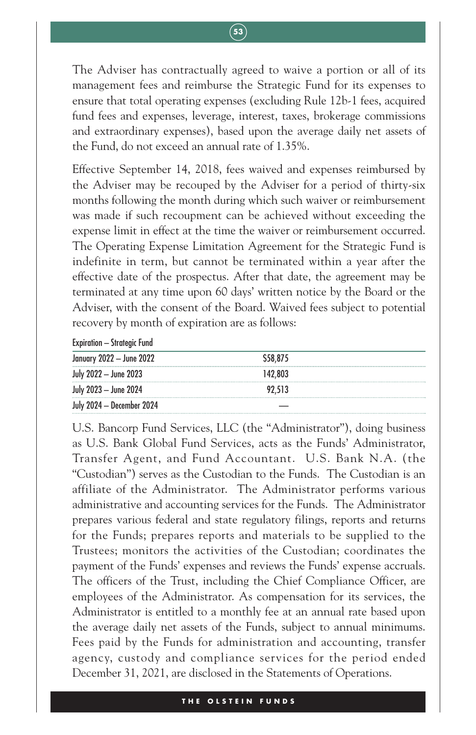The Adviser has contractually agreed to waive a portion or all of its management fees and reimburse the Strategic Fund for its expenses to ensure that total operating expenses (excluding Rule 12b-1 fees, acquired fund fees and expenses, leverage, interest, taxes, brokerage commissions and extraordinary expenses), based upon the average daily net assets of the Fund, do not exceed an annual rate of 1.35%.

**53**

Effective September 14, 2018, fees waived and expenses reimbursed by the Adviser may be recouped by the Adviser for a period of thirty-six months following the month during which such waiver or reimbursement was made if such recoupment can be achieved without exceeding the expense limit in effect at the time the waiver or reimbursement occurred. The Operating Expense Limitation Agreement for the Strategic Fund is indefinite in term, but cannot be terminated within a year after the effective date of the prospectus. After that date, the agreement may be terminated at any time upon 60 days' written notice by the Board or the Adviser, with the consent of the Board. Waived fees subject to potential recovery by month of expiration are as follows:

| Expiration - Strategic Fund      |          |  |
|----------------------------------|----------|--|
| January 2022 - June 2022         | \$58,875 |  |
| July 2022 - June 2023            | 142.803  |  |
| July 2023 - June 2024            | 92.513   |  |
| <b>July 2024 - December 2024</b> |          |  |

U.S. Bancorp Fund Services, LLC (the "Administrator"), doing business as U.S. Bank Global Fund Services, acts as the Funds' Administrator, Transfer Agent, and Fund Accountant. U.S. Bank N.A. (the "Custodian") serves as the Custodian to the Funds. The Custodian is an affiliate of the Administrator. The Administrator performs various administrative and accounting services for the Funds. The Administrator prepares various federal and state regulatory filings, reports and returns for the Funds; prepares reports and materials to be supplied to the Trustees; monitors the activities of the Custodian; coordinates the payment of the Funds' expenses and reviews the Funds' expense accruals. The officers of the Trust, including the Chief Compliance Officer, are employees of the Administrator. As compensation for its services, the Administrator is entitled to a monthly fee at an annual rate based upon the average daily net assets of the Funds, subject to annual minimums. Fees paid by the Funds for administration and accounting, transfer agency, custody and compliance services for the period ended December 31, 2021, are disclosed in the Statements of Operations.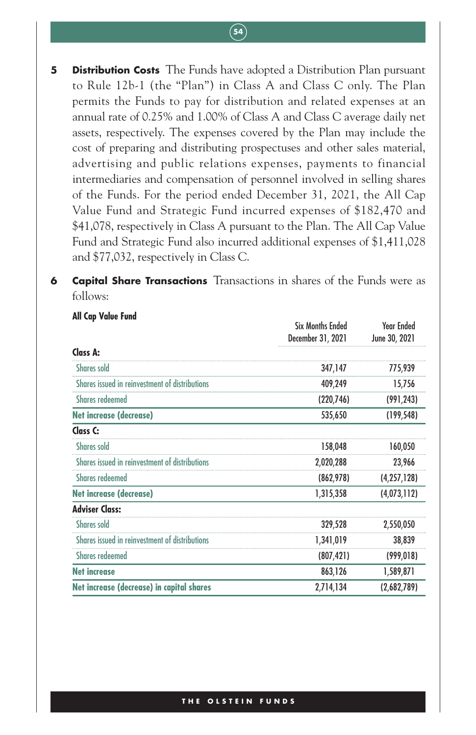

**<sup>5</sup> Distribution Costs** The Funds have adopted a Distribution Plan pursuant to Rule 12b-1 (the "Plan") in Class A and Class C only. The Plan permits the Funds to pay for distribution and related expenses at an annual rate of 0.25% and 1.00% of Class A and Class C average daily net assets, respectively. The expenses covered by the Plan may include the cost of preparing and distributing prospectuses and other sales material, advertising and public relations expenses, payments to financial intermediaries and compensation of personnel involved in selling shares of the Funds. For the period ended December 31, 2021, the All Cap Value Fund and Strategic Fund incurred expenses of \$182,470 and \$41,078, respectively in Class A pursuant to the Plan. The All Cap Value Fund and Strategic Fund also incurred additional expenses of \$1,411,028 and \$77,032, respectively in Class C.

## **<sup>6</sup> Capital Share Transactions** Transactions in shares of the Funds were as follows:

|                                                | <b>Six Months Ended</b><br>December 31, 2021 | <b>Year Ended</b><br>June 30, 2021 |
|------------------------------------------------|----------------------------------------------|------------------------------------|
| Class A:                                       |                                              |                                    |
| <b>Shares sold</b>                             | 347,147                                      | 775,939                            |
| Shares issued in reinvestment of distributions | 409,249                                      | 15,756                             |
| <b>Shares redeemed</b>                         | (220, 746)                                   | (991, 243)                         |
| <b>Net increase (decrease)</b>                 | 535,650                                      | (199, 548)                         |
| Class C:                                       |                                              |                                    |
| <b>Shares sold</b>                             | 158,048                                      | 160,050                            |
| Shares issued in reinvestment of distributions | 2,020,288                                    | 23,966                             |
| <b>Shares redeemed</b>                         | (862,978)                                    | (4, 257, 128)                      |
| <b>Net increase (decrease)</b>                 | 1,315,358                                    | (4,073,112)                        |
| <b>Adviser Class:</b>                          |                                              |                                    |
| Shares sold                                    | 329,528                                      | 2,550,050                          |
| Shares issued in reinvestment of distributions | 1,341,019                                    | 38,839                             |
| <b>Shares redeemed</b>                         | (807, 421)                                   | (999, 018)                         |
| <b>Net increase</b>                            | 863,126                                      | 1,589,871                          |
| Net increase (decrease) in capital shares      | 2,714,134                                    | (2,682,789)                        |

## **All Cap Value Fund**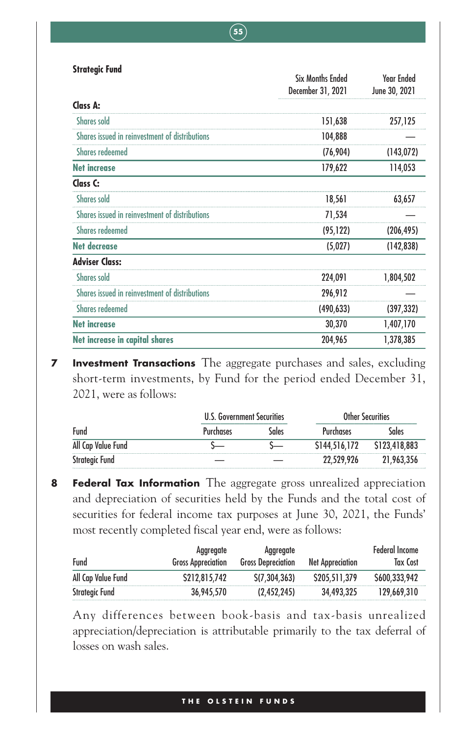#### **Strategic Fund**

|                                                | <b>Six Months Ended</b><br>December 31, 2021 | <b>Year Ended</b><br>June 30, 2021 |
|------------------------------------------------|----------------------------------------------|------------------------------------|
| Class A:                                       |                                              |                                    |
| Shares sold                                    | 151,638                                      | 257,125                            |
| Shares issued in reinvestment of distributions | 104,888                                      |                                    |
| <b>Shares redeemed</b>                         | (76, 904)                                    | (143,072)                          |
| <b>Net increase</b>                            | 179,622                                      | 114,053                            |
| Class C:                                       |                                              |                                    |
| <b>Shares sold</b>                             | 18,561                                       | 63,657                             |
| Shares issued in reinvestment of distributions | 71,534                                       |                                    |
| <b>Shares redeemed</b>                         | (95, 122)                                    | (206, 495)                         |
| <b>Net decrease</b>                            | (5,027)                                      | (142,838)                          |
| <b>Adviser Class:</b>                          |                                              |                                    |
| <b>Shares sold</b>                             | 224,091                                      | 1,804,502                          |
| Shares issued in reinvestment of distributions | 296,912                                      |                                    |
| <b>Shares redeemed</b>                         | (490, 633)                                   | (397, 332)                         |
| <b>Net increase</b>                            | 30,370                                       | 1,407,170                          |
| <b>Net increase in capital shares</b>          | 204,965                                      | 1,378,385                          |

**<sup>7</sup> Investment Transactions** The aggregate purchases and sales, excluding short-term investments, by Fund for the period ended December 31, 2021, were as follows:

|                       |           | U.S. Government Securities |               | Other Securities |
|-----------------------|-----------|----------------------------|---------------|------------------|
| Fund                  | Purchases | oles                       | Purchases     | ales             |
| All Cap Value Fund    |           |                            | \$144.516.172 | \$123.418.883    |
| <b>Strategic Fund</b> |           |                            |               | 21.963.356       |

**<sup>8</sup> Federal Tax Information** The aggregate gross unrealized appreciation and depreciation of securities held by the Funds and the total cost of securities for federal income tax purposes at June 30, 2021, the Funds' most recently completed fiscal year end, were as follows:

|                       | Aggregate                 | Aggregate                 |                         | Federal Income |
|-----------------------|---------------------------|---------------------------|-------------------------|----------------|
| Fund                  | <b>Gross Appreciation</b> | <b>Gross Depreciation</b> | <b>Net Appreciation</b> | Tax Cost       |
| All Cap Value Fund    | S212.815.742              | S(7.304.363)              | S205.511.379            | S600.333.942   |
| <b>Strategic Fund</b> | 36.945.570                | (2,452,245)               | 34.493.325              | 129.669.310    |

Any differences between book-basis and tax-basis unrealized appreciation/depreciation is attributable primarily to the tax deferral of losses on wash sales.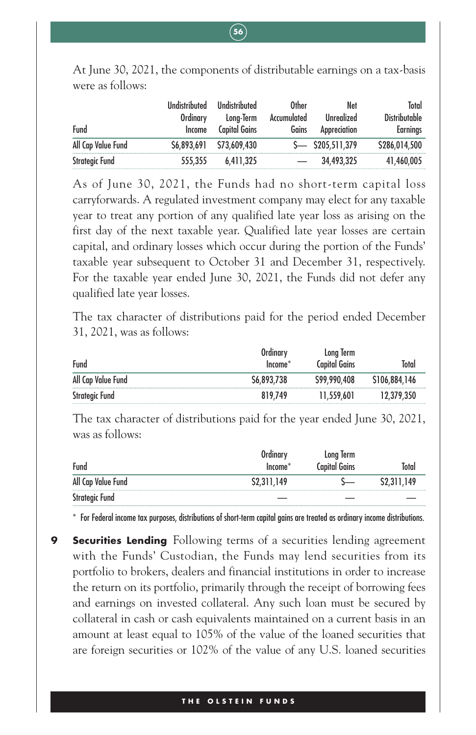|                    | <b>Undistributed</b> | <b>Undistributed</b> | 0ther       | Net                 | Total         |
|--------------------|----------------------|----------------------|-------------|---------------------|---------------|
|                    | Ordinary             | Long-Term            | Accumulated | Unrealized          | Distributable |
| Fund               | Income               | <b>Capital Gains</b> | Gains       | Appreciation        | Earnings      |
| All Cap Value Fund | S6.893.691           | S73.609.430          |             | $S -$ \$205,511,379 | \$286.014.500 |
| Strategic Fund     | 555.355              | 6.411.325            |             | 34.493.325          | 41.460.005    |

At June 30, 2021, the components of distributable earnings on a tax-basis were as follows:

**56**

As of June 30, 2021, the Funds had no short-term capital loss carryforwards. A regulated investment company may elect for any taxable year to treat any portion of any qualified late year loss as arising on the first day of the next taxable year. Qualified late year losses are certain capital, and ordinary losses which occur during the portion of the Funds' taxable year subsequent to October 31 and December 31, respectively. For the taxable year ended June 30, 2021, the Funds did not defer any qualified late year losses.

The tax character of distributions paid for the period ended December 31, 2021, was as follows:

| Fund                  | Ordinary<br>nrome | Long lerm<br>Capital Gains |               |
|-----------------------|-------------------|----------------------------|---------------|
| All Cap Value Fund    | \$6,893,738       | \$99,990,408               | \$106,884,146 |
| <b>Strategic Fund</b> | 819749            | 1.559.601                  | 2.379.350     |

The tax character of distributions paid for the year ended June 30, 2021, was as follows:

| Fund                  | ncome <sup>?</sup> | Long lerm<br><b>Capital Gains</b> |  |
|-----------------------|--------------------|-----------------------------------|--|
| All Cap Value Fund    | \$2,311,149        |                                   |  |
| <b>Strategic Fund</b> |                    |                                   |  |

\* For Federal income tax purposes, distributions of short-term capital gains are treated as ordinary income distributions.

**<sup>9</sup> Securities Lending** Following terms of a securities lending agreement with the Funds' Custodian, the Funds may lend securities from its portfolio to brokers, dealers and financial institutions in order to increase the return on its portfolio, primarily through the receipt of borrowing fees and earnings on invested collateral. Any such loan must be secured by collateral in cash or cash equivalents maintained on a current basis in an amount at least equal to 105% of the value of the loaned securities that are foreign securities or 102% of the value of any U.S. loaned securities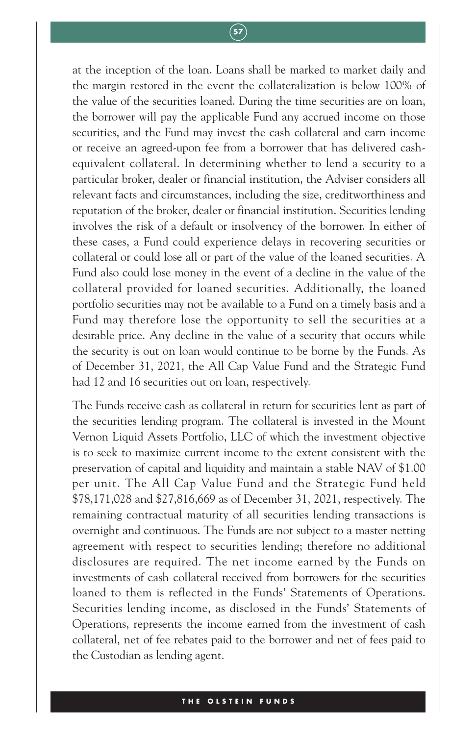

at the inception of the loan. Loans shall be marked to market daily and the margin restored in the event the collateralization is below 100% of the value of the securities loaned. During the time securities are on loan, the borrower will pay the applicable Fund any accrued income on those securities, and the Fund may invest the cash collateral and earn income or receive an agreed-upon fee from a borrower that has delivered cashequivalent collateral. In determining whether to lend a security to a particular broker, dealer or financial institution, the Adviser considers all relevant facts and circumstances, including the size, creditworthiness and reputation of the broker, dealer or financial institution. Securities lending involves the risk of a default or insolvency of the borrower. In either of these cases, a Fund could experience delays in recovering securities or collateral or could lose all or part of the value of the loaned securities. A Fund also could lose money in the event of a decline in the value of the collateral provided for loaned securities. Additionally, the loaned portfolio securities may not be available to a Fund on a timely basis and a Fund may therefore lose the opportunity to sell the securities at a desirable price. Any decline in the value of a security that occurs while the security is out on loan would continue to be borne by the Funds. As of December 31, 2021, the All Cap Value Fund and the Strategic Fund had 12 and 16 securities out on loan, respectively.

The Funds receive cash as collateral in return for securities lent as part of the securities lending program. The collateral is invested in the Mount Vernon Liquid Assets Portfolio, LLC of which the investment objective is to seek to maximize current income to the extent consistent with the preservation of capital and liquidity and maintain a stable NAV of \$1.00 per unit. The All Cap Value Fund and the Strategic Fund held \$78,171,028 and \$27,816,669 as of December 31, 2021, respectively. The remaining contractual maturity of all securities lending transactions is overnight and continuous. The Funds are not subject to a master netting agreement with respect to securities lending; therefore no additional disclosures are required. The net income earned by the Funds on investments of cash collateral received from borrowers for the securities loaned to them is reflected in the Funds' Statements of Operations. Securities lending income, as disclosed in the Funds' Statements of Operations, represents the income earned from the investment of cash collateral, net of fee rebates paid to the borrower and net of fees paid to the Custodian as lending agent.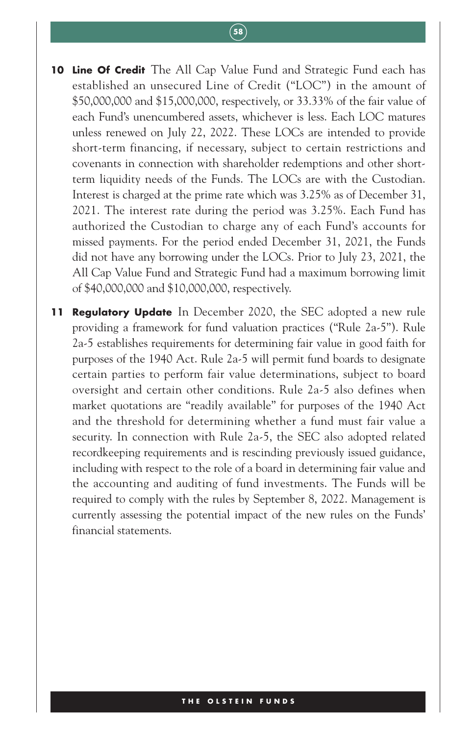

- **<sup>10</sup> Line Of Credit** The All Cap Value Fund and Strategic Fund each has established an unsecured Line of Credit ("LOC") in the amount of \$50,000,000 and \$15,000,000, respectively, or 33.33% of the fair value of each Fund's unencumbered assets, whichever is less. Each LOC matures unless renewed on July 22, 2022. These LOCs are intended to provide short-term financing, if necessary, subject to certain restrictions and covenants in connection with shareholder redemptions and other shortterm liquidity needs of the Funds. The LOCs are with the Custodian. Interest is charged at the prime rate which was 3.25% as of December 31, 2021. The interest rate during the period was 3.25%. Each Fund has authorized the Custodian to charge any of each Fund's accounts for missed payments. For the period ended December 31, 2021, the Funds did not have any borrowing under the LOCs. Prior to July 23, 2021, the All Cap Value Fund and Strategic Fund had a maximum borrowing limit of \$40,000,000 and \$10,000,000, respectively.
- **<sup>11</sup> Regulatory Update** In December 2020, the SEC adopted a new rule providing a framework for fund valuation practices ("Rule 2a-5"). Rule 2a-5 establishes requirements for determining fair value in good faith for purposes of the 1940 Act. Rule 2a-5 will permit fund boards to designate certain parties to perform fair value determinations, subject to board oversight and certain other conditions. Rule 2a-5 also defines when market quotations are "readily available" for purposes of the 1940 Act and the threshold for determining whether a fund must fair value a security. In connection with Rule 2a-5, the SEC also adopted related recordkeeping requirements and is rescinding previously issued guidance, including with respect to the role of a board in determining fair value and the accounting and auditing of fund investments. The Funds will be required to comply with the rules by September 8, 2022. Management is currently assessing the potential impact of the new rules on the Funds' financial statements.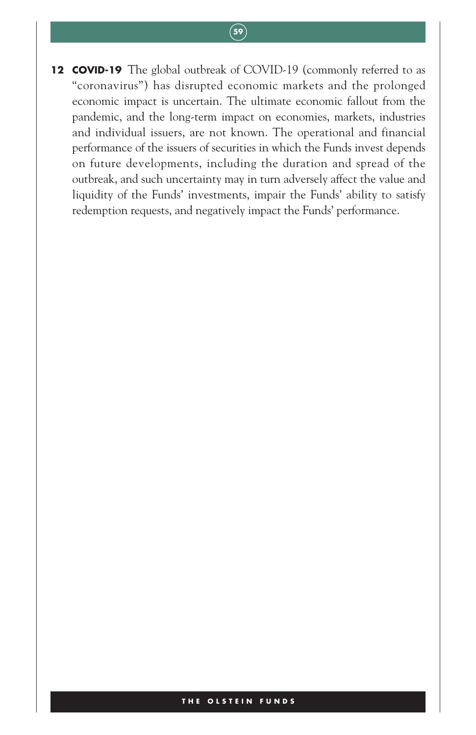

**12 COVID-19** The global outbreak of COVID-19 (commonly referred to as "coronavirus") has disrupted economic markets and the prolonged economic impact is uncertain. The ultimate economic fallout from the pandemic, and the long-term impact on economies, markets, industries and individual issuers, are not known. The operational and financial performance of the issuers of securities in which the Funds invest depends on future developments, including the duration and spread of the outbreak, and such uncertainty may in turn adversely affect the value and liquidity of the Funds' investments, impair the Funds' ability to satisfy redemption requests, and negatively impact the Funds' performance.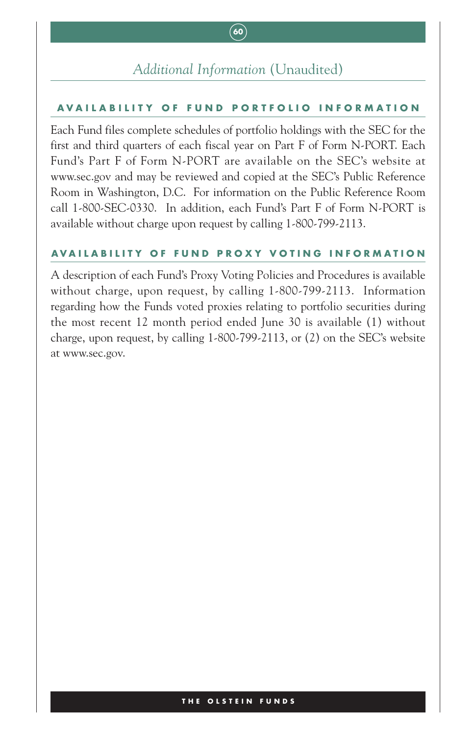# *Additional Information* (Unaudited)

**60**

## **AVAILABILITY OF FUND PORTFOLIO INFORMATION**

Each Fund files complete schedules of portfolio holdings with the SEC for the first and third quarters of each fiscal year on Part F of Form N-PORT. Each Fund's Part F of Form N-PORT are available on the SEC's website at www.sec.gov and may be reviewed and copied at the SEC's Public Reference Room in Washington, D.C. For information on the Public Reference Room call 1-800-SEC-0330. In addition, each Fund's Part F of Form N-PORT is available without charge upon request by calling 1-800-799-2113.

### **AVAILABILITY OF FUND PROXY VOTING INFORMATION**

A description of each Fund's Proxy Voting Policies and Procedures is available without charge, upon request, by calling 1-800-799-2113. Information regarding how the Funds voted proxies relating to portfolio securities during the most recent 12 month period ended June 30 is available (1) without charge, upon request, by calling 1-800-799-2113, or (2) on the SEC's website at www.sec.gov.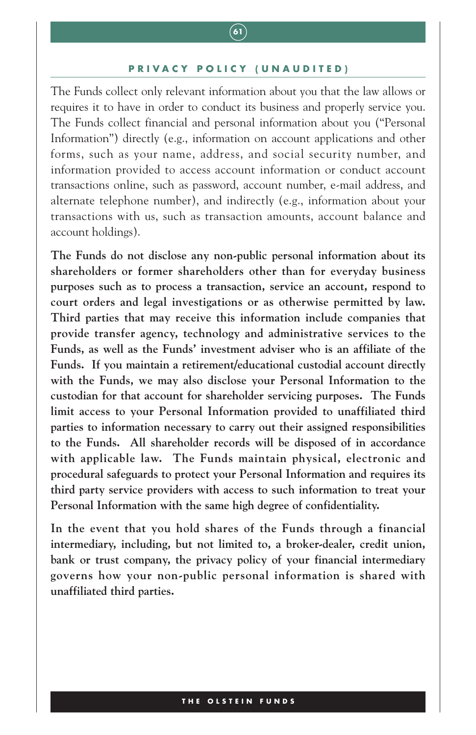#### **P R I V A C Y P O L I C Y ( U N A U D I T E D )**

The Funds collect only relevant information about you that the law allows or requires it to have in order to conduct its business and properly service you. The Funds collect financial and personal information about you ("Personal Information") directly (e.g., information on account applications and other forms, such as your name, address, and social security number, and information provided to access account information or conduct account transactions online, such as password, account number, e-mail address, and alternate telephone number), and indirectly (e.g., information about your transactions with us, such as transaction amounts, account balance and account holdings).

**The Funds do not disclose any non-public personal information about its shareholders or former shareholders other than for everyday business purposes such as to process a transaction, service an account, respond to court orders and legal investigations or as otherwise permitted by law. Third parties that may receive this information include companies that provide transfer agency, technology and administrative services to the Funds, as well as the Funds' investment adviser who is an affiliate of the Funds. If you maintain a retirement/educational custodial account directly with the Funds, we may also disclose your Personal Information to the custodian for that account for shareholder servicing purposes. The Funds limit access to your Personal Information provided to unaffiliated third parties to information necessary to carry out their assigned responsibilities to the Funds. All shareholder records will be disposed of in accordance with applicable law. The Funds maintain physical, electronic and procedural safeguards to protect your Personal Information and requires its third party service providers with access to such information to treat your Personal Information with the same high degree of confidentiality.**

**In the event that you hold shares of the Funds through a financial intermediary, including, but not limited to, a broker-dealer, credit union, bank or trust company, the privacy policy of your financial intermediary governs how your non-public personal information is shared with unaffiliated third parties.**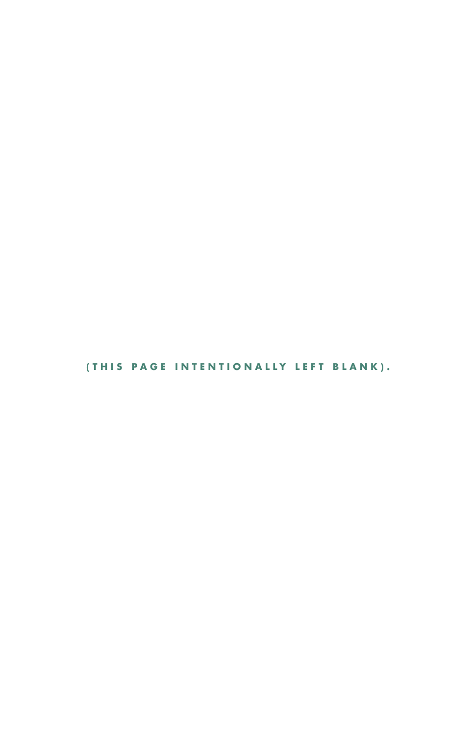(THIS PAGE INTENTIONALLY LEFT BLANK).